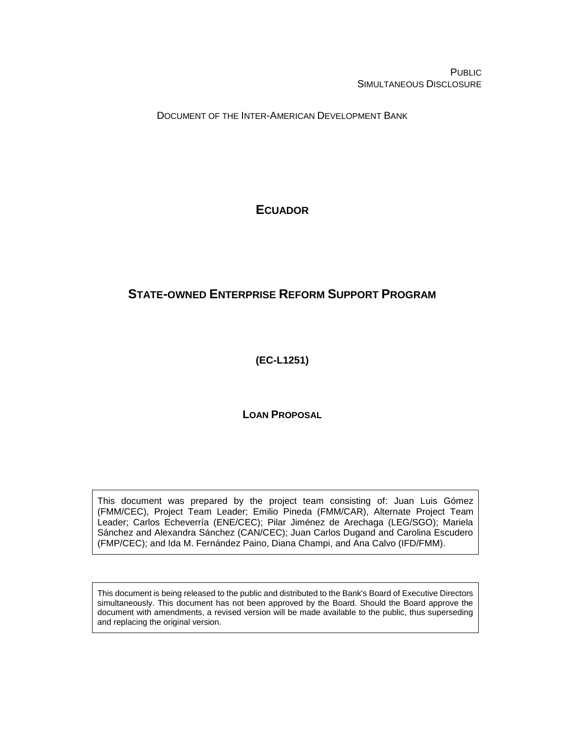PUBLIC SIMULTANEOUS DISCLOSURE

DOCUMENT OF THE INTER-AMERICAN DEVELOPMENT BANK

# **ECUADOR**

# **STATE-OWNED ENTERPRISE REFORM SUPPORT PROGRAM**

**(EC-L1251)**

**LOAN PROPOSAL**

This document was prepared by the project team consisting of: Juan Luis Gómez (FMM/CEC), Project Team Leader; Emilio Pineda (FMM/CAR), Alternate Project Team Leader; Carlos Echeverría (ENE/CEC); Pilar Jiménez de Arechaga (LEG/SGO); Mariela Sánchez and Alexandra Sánchez (CAN/CEC); Juan Carlos Dugand and Carolina Escudero (FMP/CEC); and Ida M. Fernández Paino, Diana Champi, and Ana Calvo (IFD/FMM).

This document is being released to the public and distributed to the Bank's Board of Executive Directors simultaneously. This document has not been approved by the Board. Should the Board approve the document with amendments, a revised version will be made available to the public, thus superseding and replacing the original version.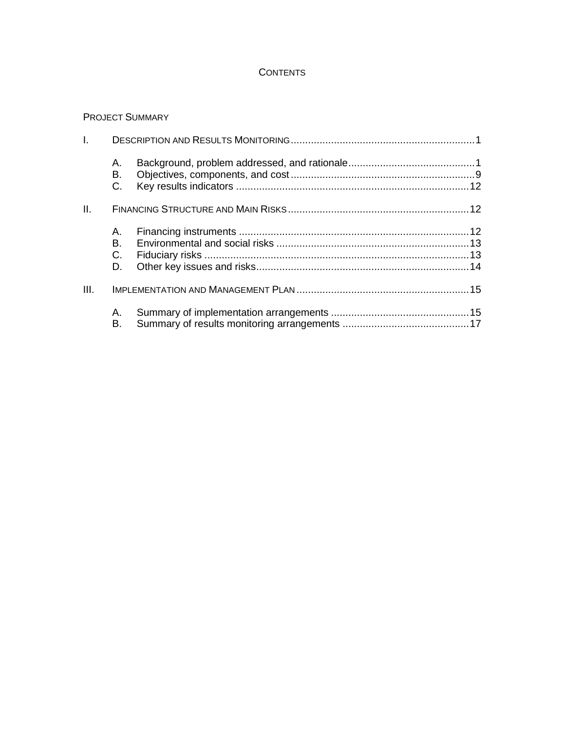# **CONTENTS**

# PROJECT SUMMARY

| I.   |                        |  |
|------|------------------------|--|
|      | А.<br>В.<br>C.         |  |
| II.  |                        |  |
|      | A. .<br>В.<br>C.<br>D. |  |
| III. |                        |  |
|      | А.<br>В.               |  |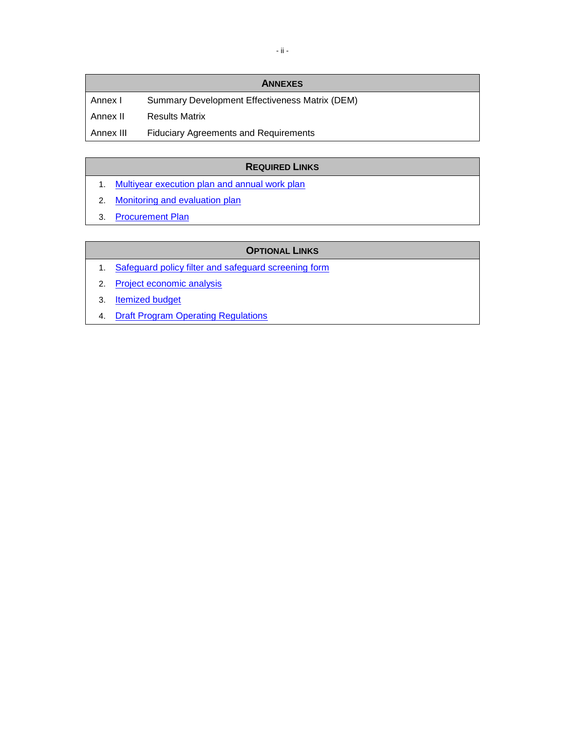# - ii -

#### **ANNEXES**

Annex I Summary Development Effectiveness Matrix (DEM) Annex II Results Matrix Annex III Fiduciary Agreements and Requirements

# **REQUIRED LINKS**

- 1. [Multiyear execution plan and annual work plan](http://idbdocs.iadb.org/wsdocs/getDocument.aspx?DOCNUM=EZSHARE-1354788817-3)
- 2. [Monitoring and evaluation plan](http://idbdocs.iadb.org/wsdocs/getDocument.aspx?DOCNUM=EZSHARE-1354788817-12)
- 3. [Procurement Plan](http://idbdocs.iadb.org/wsdocs/getDocument.aspx?DOCNUM=EZSHARE-1354788817-3)

### **OPTIONAL LINKS**

- 1. [Safeguard policy filter and safeguard screening](http://idbdocs.iadb.org/wsdocs/getDocument.aspx?DOCNUM=EZSHARE-1354788817-25) form
- 2. [Project economic analysis](http://idbdocs.iadb.org/wsdocs/getDocument.aspx?DOCNUM=EZSHARE-1354788817-10)
- 3. [Itemized budget](http://idbdocs.iadb.org/wsdocs/getDocument.aspx?DOCNUM=EZSHARE-1354788817-3)
- 4. [Draft Program Operating Regulations](http://idbdocs.iadb.org/wsdocs/getDocument.aspx?DOCNUM=EZSHARE-1354788817-11)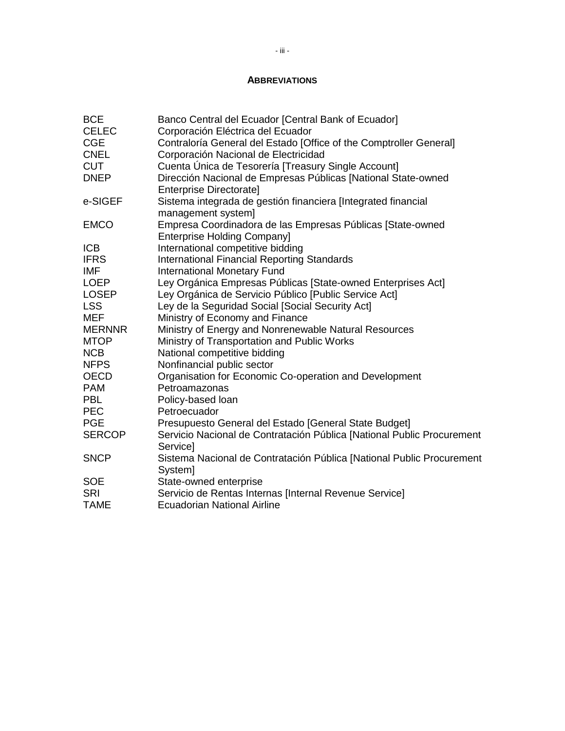#### **ABBREVIATIONS**

| <b>BCE</b>    | Banco Central del Ecuador [Central Bank of Ecuador]                    |
|---------------|------------------------------------------------------------------------|
| <b>CELEC</b>  | Corporación Eléctrica del Ecuador                                      |
| <b>CGE</b>    | Contraloría General del Estado [Office of the Comptroller General]     |
| <b>CNEL</b>   | Corporación Nacional de Electricidad                                   |
| <b>CUT</b>    | Cuenta Unica de Tesorería [Treasury Single Account]                    |
| <b>DNEP</b>   | Dirección Nacional de Empresas Públicas [National State-owned          |
|               | <b>Enterprise Directorate]</b>                                         |
| e-SIGEF       | Sistema integrada de gestión financiera [Integrated financial          |
|               | management system]                                                     |
| <b>EMCO</b>   | Empresa Coordinadora de las Empresas Públicas [State-owned             |
|               | <b>Enterprise Holding Company]</b>                                     |
| <b>ICB</b>    | International competitive bidding                                      |
| <b>IFRS</b>   | <b>International Financial Reporting Standards</b>                     |
| <b>IMF</b>    | <b>International Monetary Fund</b>                                     |
| <b>LOEP</b>   | Ley Orgánica Empresas Públicas [State-owned Enterprises Act]           |
| <b>LOSEP</b>  | Ley Orgánica de Servicio Público [Public Service Act]                  |
| <b>LSS</b>    | Ley de la Seguridad Social [Social Security Act]                       |
| <b>MEF</b>    | Ministry of Economy and Finance                                        |
| <b>MERNNR</b> | Ministry of Energy and Nonrenewable Natural Resources                  |
| <b>MTOP</b>   | Ministry of Transportation and Public Works                            |
| <b>NCB</b>    | National competitive bidding                                           |
| <b>NFPS</b>   | Nonfinancial public sector                                             |
| <b>OECD</b>   | Organisation for Economic Co-operation and Development                 |
| <b>PAM</b>    | Petroamazonas                                                          |
| <b>PBL</b>    | Policy-based loan                                                      |
| <b>PEC</b>    | Petroecuador                                                           |
| <b>PGE</b>    | Presupuesto General del Estado [General State Budget]                  |
| <b>SERCOP</b> | Servicio Nacional de Contratación Pública [National Public Procurement |
|               | Service]                                                               |
| <b>SNCP</b>   | Sistema Nacional de Contratación Pública [National Public Procurement  |
|               | System]                                                                |
| <b>SOE</b>    | State-owned enterprise                                                 |
| <b>SRI</b>    | Servicio de Rentas Internas [Internal Revenue Service]                 |
| <b>TAME</b>   | <b>Ecuadorian National Airline</b>                                     |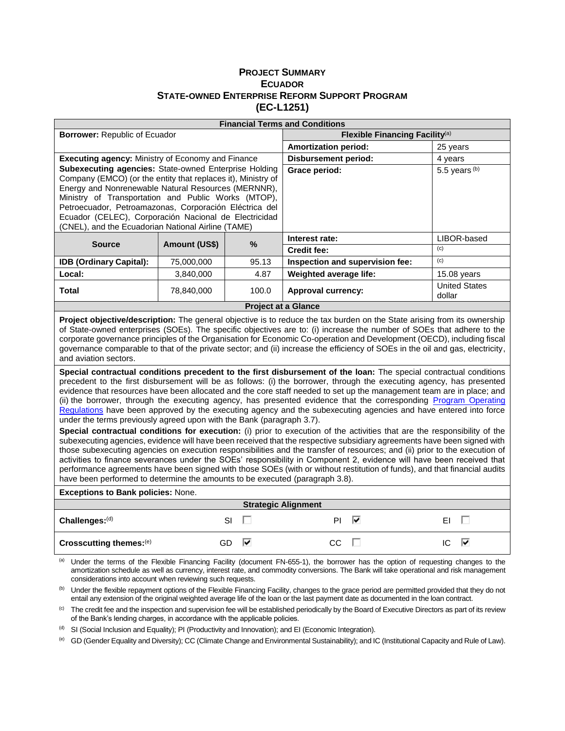#### **PROJECT SUMMARY ECUADOR STATE-OWNED ENTERPRISE REFORM SUPPORT PROGRAM (EC-L1251)**

|                                                                                                                                                                                                                                                                                                                                                                                                                                                                                                                                                                                                                                                                                                                                                                                                                                                                                                                                                                                                                                                                                                                                                                                                                                                                                                                                                                                                                                                                                                                                                                                                                                                                                                                                                                                                                                                                                                                                                              |                            |         | <b>Financial Terms and Conditions</b>      |                                 |                                |  |  |  |  |  |
|--------------------------------------------------------------------------------------------------------------------------------------------------------------------------------------------------------------------------------------------------------------------------------------------------------------------------------------------------------------------------------------------------------------------------------------------------------------------------------------------------------------------------------------------------------------------------------------------------------------------------------------------------------------------------------------------------------------------------------------------------------------------------------------------------------------------------------------------------------------------------------------------------------------------------------------------------------------------------------------------------------------------------------------------------------------------------------------------------------------------------------------------------------------------------------------------------------------------------------------------------------------------------------------------------------------------------------------------------------------------------------------------------------------------------------------------------------------------------------------------------------------------------------------------------------------------------------------------------------------------------------------------------------------------------------------------------------------------------------------------------------------------------------------------------------------------------------------------------------------------------------------------------------------------------------------------------------------|----------------------------|---------|--------------------------------------------|---------------------------------|--------------------------------|--|--|--|--|--|
| <b>Borrower: Republic of Ecuador</b>                                                                                                                                                                                                                                                                                                                                                                                                                                                                                                                                                                                                                                                                                                                                                                                                                                                                                                                                                                                                                                                                                                                                                                                                                                                                                                                                                                                                                                                                                                                                                                                                                                                                                                                                                                                                                                                                                                                         |                            |         | Flexible Financing Facility <sup>(a)</sup> |                                 |                                |  |  |  |  |  |
|                                                                                                                                                                                                                                                                                                                                                                                                                                                                                                                                                                                                                                                                                                                                                                                                                                                                                                                                                                                                                                                                                                                                                                                                                                                                                                                                                                                                                                                                                                                                                                                                                                                                                                                                                                                                                                                                                                                                                              |                            |         | <b>Amortization period:</b>                |                                 | 25 years                       |  |  |  |  |  |
| Executing agency: Ministry of Economy and Finance                                                                                                                                                                                                                                                                                                                                                                                                                                                                                                                                                                                                                                                                                                                                                                                                                                                                                                                                                                                                                                                                                                                                                                                                                                                                                                                                                                                                                                                                                                                                                                                                                                                                                                                                                                                                                                                                                                            |                            |         | <b>Disbursement period:</b>                |                                 | 4 years                        |  |  |  |  |  |
| <b>Subexecuting agencies: State-owned Enterprise Holding</b><br>Company (EMCO) (or the entity that replaces it), Ministry of<br>Energy and Nonrenewable Natural Resources (MERNNR),<br>Ministry of Transportation and Public Works (MTOP),<br>Petroecuador, Petroamazonas, Corporación Eléctrica del<br>Ecuador (CELEC), Corporación Nacional de Electricidad<br>(CNEL), and the Ecuadorian National Airline (TAME)                                                                                                                                                                                                                                                                                                                                                                                                                                                                                                                                                                                                                                                                                                                                                                                                                                                                                                                                                                                                                                                                                                                                                                                                                                                                                                                                                                                                                                                                                                                                          |                            |         | Grace period:                              |                                 | 5.5 years $(b)$                |  |  |  |  |  |
| <b>Source</b>                                                                                                                                                                                                                                                                                                                                                                                                                                                                                                                                                                                                                                                                                                                                                                                                                                                                                                                                                                                                                                                                                                                                                                                                                                                                                                                                                                                                                                                                                                                                                                                                                                                                                                                                                                                                                                                                                                                                                | Amount (US\$)              | $\%$    | Interest rate:                             |                                 | LIBOR-based                    |  |  |  |  |  |
|                                                                                                                                                                                                                                                                                                                                                                                                                                                                                                                                                                                                                                                                                                                                                                                                                                                                                                                                                                                                                                                                                                                                                                                                                                                                                                                                                                                                                                                                                                                                                                                                                                                                                                                                                                                                                                                                                                                                                              |                            |         | <b>Credit fee:</b>                         |                                 | (c)                            |  |  |  |  |  |
| <b>IDB (Ordinary Capital):</b>                                                                                                                                                                                                                                                                                                                                                                                                                                                                                                                                                                                                                                                                                                                                                                                                                                                                                                                                                                                                                                                                                                                                                                                                                                                                                                                                                                                                                                                                                                                                                                                                                                                                                                                                                                                                                                                                                                                               | 75,000,000                 | 95.13   |                                            | Inspection and supervision fee: | (c)                            |  |  |  |  |  |
| Local:                                                                                                                                                                                                                                                                                                                                                                                                                                                                                                                                                                                                                                                                                                                                                                                                                                                                                                                                                                                                                                                                                                                                                                                                                                                                                                                                                                                                                                                                                                                                                                                                                                                                                                                                                                                                                                                                                                                                                       | 3,840,000                  | 4.87    | Weighted average life:                     |                                 | 15.08 years                    |  |  |  |  |  |
| <b>Total</b>                                                                                                                                                                                                                                                                                                                                                                                                                                                                                                                                                                                                                                                                                                                                                                                                                                                                                                                                                                                                                                                                                                                                                                                                                                                                                                                                                                                                                                                                                                                                                                                                                                                                                                                                                                                                                                                                                                                                                 | 78,840,000                 | 100.0   | <b>Approval currency:</b>                  |                                 | <b>United States</b><br>dollar |  |  |  |  |  |
|                                                                                                                                                                                                                                                                                                                                                                                                                                                                                                                                                                                                                                                                                                                                                                                                                                                                                                                                                                                                                                                                                                                                                                                                                                                                                                                                                                                                                                                                                                                                                                                                                                                                                                                                                                                                                                                                                                                                                              |                            |         | <b>Project at a Glance</b>                 |                                 |                                |  |  |  |  |  |
| Project objective/description: The general objective is to reduce the tax burden on the State arising from its ownership<br>of State-owned enterprises (SOEs). The specific objectives are to: (i) increase the number of SOEs that adhere to the<br>corporate governance principles of the Organisation for Economic Co-operation and Development (OECD), including fiscal<br>governance comparable to that of the private sector; and (ii) increase the efficiency of SOEs in the oil and gas, electricity,<br>and aviation sectors.<br>Special contractual conditions precedent to the first disbursement of the loan: The special contractual conditions<br>precedent to the first disbursement will be as follows: (i) the borrower, through the executing agency, has presented<br>evidence that resources have been allocated and the core staff needed to set up the management team are in place; and<br>(ii) the borrower, through the executing agency, has presented evidence that the corresponding Program Operating<br>Regulations have been approved by the executing agency and the subexecuting agencies and have entered into force<br>under the terms previously agreed upon with the Bank (paragraph 3.7).<br>Special contractual conditions for execution: (i) prior to execution of the activities that are the responsibility of the<br>subexecuting agencies, evidence will have been received that the respective subsidiary agreements have been signed with<br>those subexecuting agencies on execution responsibilities and the transfer of resources; and (ii) prior to the execution of<br>activities to finance severances under the SOEs' responsibility in Component 2, evidence will have been received that<br>performance agreements have been signed with those SOEs (with or without restitution of funds), and that financial audits<br>have been performed to determine the amounts to be executed (paragraph 3.8). |                            |         |                                            |                                 |                                |  |  |  |  |  |
| <b>Exceptions to Bank policies: None.</b>                                                                                                                                                                                                                                                                                                                                                                                                                                                                                                                                                                                                                                                                                                                                                                                                                                                                                                                                                                                                                                                                                                                                                                                                                                                                                                                                                                                                                                                                                                                                                                                                                                                                                                                                                                                                                                                                                                                    |                            |         |                                            |                                 |                                |  |  |  |  |  |
|                                                                                                                                                                                                                                                                                                                                                                                                                                                                                                                                                                                                                                                                                                                                                                                                                                                                                                                                                                                                                                                                                                                                                                                                                                                                                                                                                                                                                                                                                                                                                                                                                                                                                                                                                                                                                                                                                                                                                              | <b>Strategic Alignment</b> |         |                                            |                                 |                                |  |  |  |  |  |
| Challenges:(d)                                                                                                                                                                                                                                                                                                                                                                                                                                                                                                                                                                                                                                                                                                                                                                                                                                                                                                                                                                                                                                                                                                                                                                                                                                                                                                                                                                                                                                                                                                                                                                                                                                                                                                                                                                                                                                                                                                                                               |                            | п<br>SI | PI                                         | ⊽                               | П<br>ΕL                        |  |  |  |  |  |
| Crosscutting themes:(e)                                                                                                                                                                                                                                                                                                                                                                                                                                                                                                                                                                                                                                                                                                                                                                                                                                                                                                                                                                                                                                                                                                                                                                                                                                                                                                                                                                                                                                                                                                                                                                                                                                                                                                                                                                                                                                                                                                                                      |                            | ⊽<br>GD | CC                                         | п                               | ⊽<br>IC                        |  |  |  |  |  |
| (a) Under the terms of the Flexible Financing Facility (document FN-655-1), the borrower has the option of requesting changes to the                                                                                                                                                                                                                                                                                                                                                                                                                                                                                                                                                                                                                                                                                                                                                                                                                                                                                                                                                                                                                                                                                                                                                                                                                                                                                                                                                                                                                                                                                                                                                                                                                                                                                                                                                                                                                         |                            |         |                                            |                                 |                                |  |  |  |  |  |

amortization schedule as well as currency, interest rate, and commodity conversions. The Bank will take operational and risk management considerations into account when reviewing such requests.

(b) Under the flexible repayment options of the Flexible Financing Facility, changes to the grace period are permitted provided that they do not entail any extension of the original weighted average life of the loan or the last payment date as documented in the loan contract.

<sup>(c)</sup> The credit fee and the inspection and supervision fee will be established periodically by the Board of Executive Directors as part of its review of the Bank's lending charges, in accordance with the applicable policies.

(d) SI (Social Inclusion and Equality); PI (Productivity and Innovation); and EI (Economic Integration).

(e) GD (Gender Equality and Diversity); CC (Climate Change and Environmental Sustainability); and IC (Institutional Capacity and Rule of Law).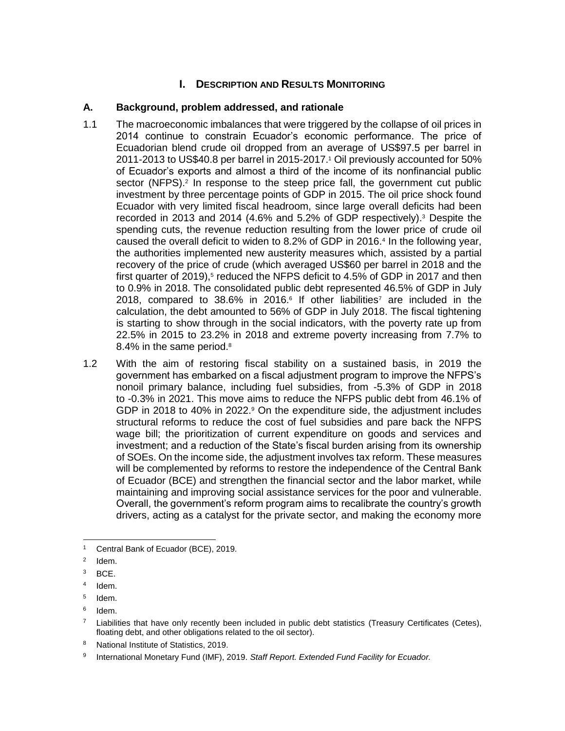# **I.** DESCRIPTION AND RESULTS MONITORING

# **A. Background, problem addressed, and rationale**

- 1.1 The macroeconomic imbalances that were triggered by the collapse of oil prices in 2014 continue to constrain Ecuador's economic performance. The price of Ecuadorian blend crude oil dropped from an average of US\$97.5 per barrel in 2011-2013 to US\$40.8 per barrel in 2015-2017.<sup>1</sup> Oil previously accounted for 50% of Ecuador's exports and almost a third of the income of its nonfinancial public sector (NFPS).<sup>2</sup> In response to the steep price fall, the government cut public investment by three percentage points of GDP in 2015. The oil price shock found Ecuador with very limited fiscal headroom, since large overall deficits had been recorded in 2013 and 2014 (4.6% and 5.2% of GDP respectively).<sup>3</sup> Despite the spending cuts, the revenue reduction resulting from the lower price of crude oil caused the overall deficit to widen to 8.2% of GDP in 2016.<sup>4</sup> In the following year, the authorities implemented new austerity measures which, assisted by a partial recovery of the price of crude (which averaged US\$60 per barrel in 2018 and the first quarter of 2019), $5$  reduced the NFPS deficit to 4.5% of GDP in 2017 and then to 0.9% in 2018. The consolidated public debt represented 46.5% of GDP in July 2018, compared to 38.6% in 2016.<sup>6</sup> If other liabilities<sup>7</sup> are included in the calculation, the debt amounted to 56% of GDP in July 2018. The fiscal tightening is starting to show through in the social indicators, with the poverty rate up from 22.5% in 2015 to 23.2% in 2018 and extreme poverty increasing from 7.7% to 8.4% in the same period.<sup>8</sup>
- 1.2 With the aim of restoring fiscal stability on a sustained basis, in 2019 the government has embarked on a fiscal adjustment program to improve the NFPS's nonoil primary balance, including fuel subsidies, from -5.3% of GDP in 2018 to -0.3% in 2021. This move aims to reduce the NFPS public debt from 46.1% of GDP in 2018 to 40% in 2022.<sup>9</sup> On the expenditure side, the adjustment includes structural reforms to reduce the cost of fuel subsidies and pare back the NFPS wage bill; the prioritization of current expenditure on goods and services and investment; and a reduction of the State's fiscal burden arising from its ownership of SOEs. On the income side, the adjustment involves tax reform. These measures will be complemented by reforms to restore the independence of the Central Bank of Ecuador (BCE) and strengthen the financial sector and the labor market, while maintaining and improving social assistance services for the poor and vulnerable. Overall, the government's reform program aims to recalibrate the country's growth drivers, acting as a catalyst for the private sector, and making the economy more

<sup>1</sup> Central Bank of Ecuador (BCE), 2019.

<sup>2</sup> Idem.

<sup>3</sup> BCE.

<sup>4</sup> Idem.

<sup>5</sup> Idem.

<sup>6</sup> Idem.

 $^7$  Liabilities that have only recently been included in public debt statistics (Treasury Certificates (Cetes), floating debt, and other obligations related to the oil sector).

<sup>8</sup> National Institute of Statistics, 2019.

<sup>9</sup> International Monetary Fund (IMF), 2019. *Staff Report. Extended Fund Facility for Ecuador.*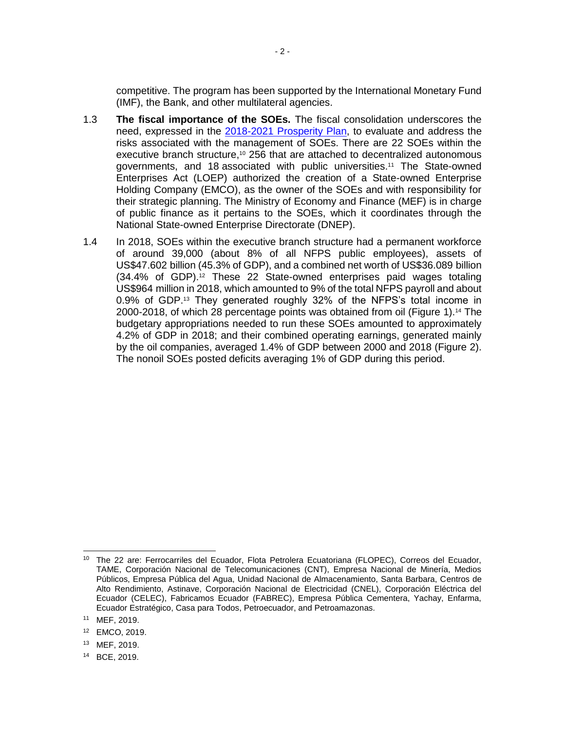competitive. The program has been supported by the International Monetary Fund (IMF), the Bank, and other multilateral agencies.

- 1.3 **The fiscal importance of the SOEs.** The fiscal consolidation underscores the need, expressed in the [2018-2021 Prosperity Plan,](https://www.finanzas.gob.ec/wp-content/uploads/downloads/2018/08/Plan20Prosperidad20RV.pdf) to evaluate and address the risks associated with the management of SOEs. There are 22 SOEs within the executive branch structure,<sup>10</sup> 256 that are attached to decentralized autonomous governments, and 18 associated with public universities.<sup>11</sup> The State-owned Enterprises Act (LOEP) authorized the creation of a State-owned Enterprise Holding Company (EMCO), as the owner of the SOEs and with responsibility for their strategic planning. The Ministry of Economy and Finance (MEF) is in charge of public finance as it pertains to the SOEs, which it coordinates through the National State-owned Enterprise Directorate (DNEP).
- 1.4 In 2018, SOEs within the executive branch structure had a permanent workforce of around 39,000 (about 8% of all NFPS public employees), assets of US\$47.602 billion (45.3% of GDP), and a combined net worth of US\$36.089 billion (34.4% of GDP).<sup>12</sup> These 22 State-owned enterprises paid wages totaling US\$964 million in 2018, which amounted to 9% of the total NFPS payroll and about 0.9% of GDP.<sup>13</sup> They generated roughly 32% of the NFPS's total income in 2000-2018, of which 28 percentage points was obtained from oil (Figure 1).<sup>14</sup> The budgetary appropriations needed to run these SOEs amounted to approximately 4.2% of GDP in 2018; and their combined operating earnings, generated mainly by the oil companies, averaged 1.4% of GDP between 2000 and 2018 (Figure 2). The nonoil SOEs posted deficits averaging 1% of GDP during this period.

 <sup>10</sup> The 22 are: Ferrocarriles del Ecuador, Flota Petrolera Ecuatoriana (FLOPEC), Correos del Ecuador, TAME, Corporación Nacional de Telecomunicaciones (CNT), Empresa Nacional de Minería, Medios Públicos, Empresa Pública del Agua, Unidad Nacional de Almacenamiento, Santa Barbara, Centros de Alto Rendimiento, Astinave, Corporación Nacional de Electricidad (CNEL), Corporación Eléctrica del Ecuador (CELEC), Fabricamos Ecuador (FABREC), Empresa Pública Cementera, Yachay, Enfarma, Ecuador Estratégico, Casa para Todos, Petroecuador, and Petroamazonas.

<sup>11</sup> MEF, 2019.

<sup>12</sup> EMCO, 2019.

<sup>13</sup> MEF, 2019.

<sup>14</sup> BCE, 2019.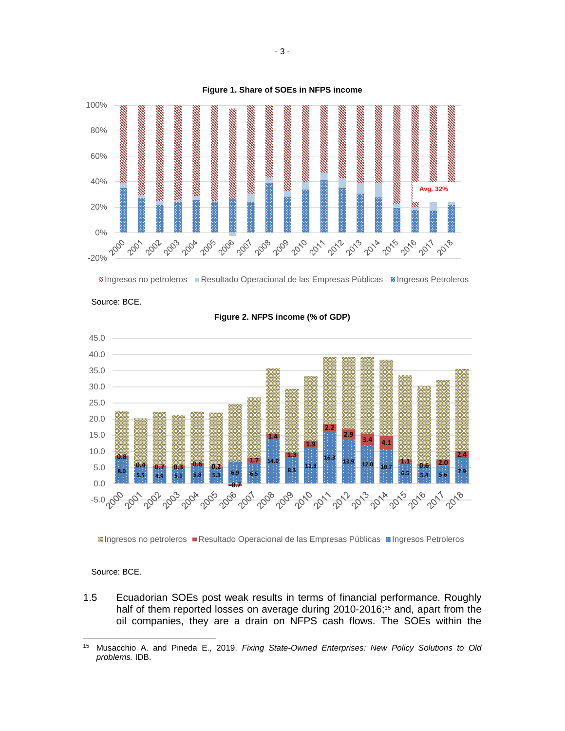





**Figure 2. NFPS income (% of GDP)**

Ingresos no petroleros Resultado Operacional de las Empresas Públicas Ingresos Petroleros

#### Source: BCE.

 $\overline{a}$ 

Source: BCE.

1.5 Ecuadorian SOEs post weak results in terms of financial performance. Roughly half of them reported losses on average during 2010-2016;<sup>15</sup> and, apart from the oil companies, they are a drain on NFPS cash flows. The SOEs within the

<sup>15</sup> Musacchio A. and Pineda E., 2019. *Fixing State-Owned Enterprises: New Policy Solutions to Old problems.* IDB.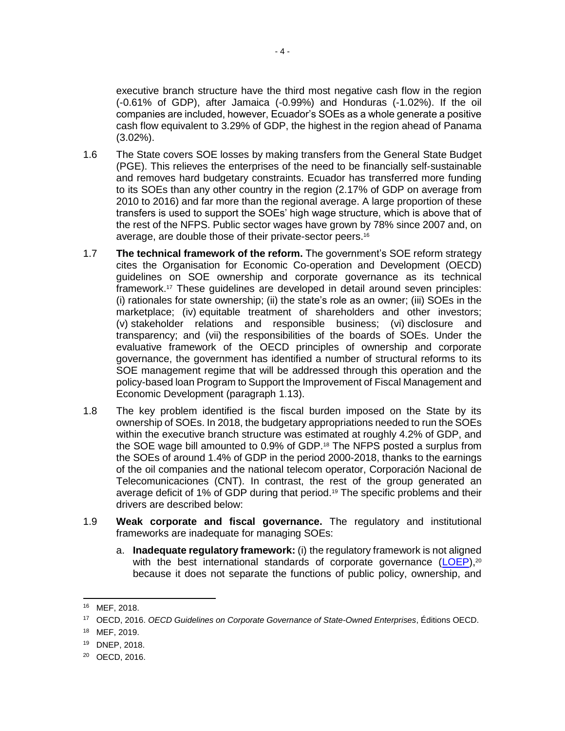executive branch structure have the third most negative cash flow in the region (-0.61% of GDP), after Jamaica (-0.99%) and Honduras (-1.02%). If the oil companies are included, however, Ecuador's SOEs as a whole generate a positive cash flow equivalent to 3.29% of GDP, the highest in the region ahead of Panama (3.02%).

- 1.6 The State covers SOE losses by making transfers from the General State Budget (PGE). This relieves the enterprises of the need to be financially self-sustainable and removes hard budgetary constraints. Ecuador has transferred more funding to its SOEs than any other country in the region (2.17% of GDP on average from 2010 to 2016) and far more than the regional average. A large proportion of these transfers is used to support the SOEs' high wage structure, which is above that of the rest of the NFPS. Public sector wages have grown by 78% since 2007 and, on average, are double those of their private-sector peers.<sup>16</sup>
- 1.7 **The technical framework of the reform.** The government's SOE reform strategy cites the Organisation for Economic Co-operation and Development (OECD) guidelines on SOE ownership and corporate governance as its technical framework. <sup>17</sup> These guidelines are developed in detail around seven principles: (i) rationales for state ownership; (ii) the state's role as an owner; (iii) SOEs in the marketplace; (iv) equitable treatment of shareholders and other investors; (v) stakeholder relations and responsible business; (vi) disclosure and transparency; and (vii) the responsibilities of the boards of SOEs. Under the evaluative framework of the OECD principles of ownership and corporate governance, the government has identified a number of structural reforms to its SOE management regime that will be addressed through this operation and the policy-based loan Program to Support the Improvement of Fiscal Management and Economic Development (paragraph 1.13).
- 1.8 The key problem identified is the fiscal burden imposed on the State by its ownership of SOEs. In 2018, the budgetary appropriations needed to run the SOEs within the executive branch structure was estimated at roughly 4.2% of GDP, and the SOE wage bill amounted to 0.9% of GDP.<sup>18</sup> The NFPS posted a surplus from the SOEs of around 1.4% of GDP in the period 2000-2018, thanks to the earnings of the oil companies and the national telecom operator, Corporación Nacional de Telecomunicaciones (CNT). In contrast, the rest of the group generated an average deficit of 1% of GDP during that period.<sup>19</sup> The specific problems and their drivers are described below:
- 1.9 **Weak corporate and fiscal governance.** The regulatory and institutional frameworks are inadequate for managing SOEs:
	- a. **Inadequate regulatory framework:** (i) the regulatory framework is not aligned with the best international standards of corporate governance  $(LOEP)$ ,<sup>20</sup> because it does not separate the functions of public policy, ownership, and

 <sup>16</sup> MEF, 2018.

<sup>17</sup> OECD, 2016. *OECD Guidelines on Corporate Governance of State-Owned Enterprises*, Éditions OECD.

<sup>18</sup> MEF, 2019.

<sup>19</sup> DNEP, 2018.

<sup>20</sup> OECD, 2016.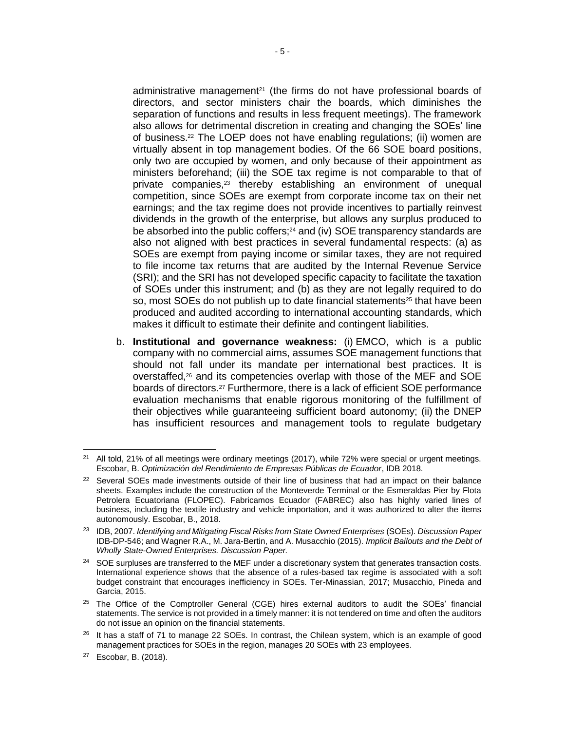administrative management<sup>21</sup> (the firms do not have professional boards of directors, and sector ministers chair the boards, which diminishes the separation of functions and results in less frequent meetings). The framework also allows for detrimental discretion in creating and changing the SOEs' line of business.<sup>22</sup> The LOEP does not have enabling regulations; (ii) women are virtually absent in top management bodies. Of the 66 SOE board positions, only two are occupied by women, and only because of their appointment as ministers beforehand; (iii) the SOE tax regime is not comparable to that of private companies,<sup>23</sup> thereby establishing an environment of unequal competition, since SOEs are exempt from corporate income tax on their net earnings; and the tax regime does not provide incentives to partially reinvest dividends in the growth of the enterprise, but allows any surplus produced to be absorbed into the public coffers;<sup>24</sup> and (iv) SOE transparency standards are also not aligned with best practices in several fundamental respects: (a) as SOEs are exempt from paying income or similar taxes, they are not required to file income tax returns that are audited by the Internal Revenue Service (SRI); and the SRI has not developed specific capacity to facilitate the taxation of SOEs under this instrument; and (b) as they are not legally required to do so, most SOEs do not publish up to date financial statements<sup>25</sup> that have been produced and audited according to international accounting standards, which makes it difficult to estimate their definite and contingent liabilities.

b. **Institutional and governance weakness:** (i) EMCO, which is a public company with no commercial aims, assumes SOE management functions that should not fall under its mandate per international best practices. It is overstaffed, <sup>26</sup> and its competencies overlap with those of the MEF and SOE boards of directors.<sup>27</sup> Furthermore, there is a lack of efficient SOE performance evaluation mechanisms that enable rigorous monitoring of the fulfillment of their objectives while guaranteeing sufficient board autonomy; (ii) the DNEP has insufficient resources and management tools to regulate budgetary

  $21$  All told, 21% of all meetings were ordinary meetings (2017), while 72% were special or urgent meetings. Escobar, B. *Optimización del Rendimiento de Empresas Públicas de Ecuador*, IDB 2018.

<sup>&</sup>lt;sup>22</sup> Several SOEs made investments outside of their line of business that had an impact on their balance sheets. Examples include the construction of the Monteverde Terminal or the Esmeraldas Pier by Flota Petrolera Ecuatoriana (FLOPEC). Fabricamos Ecuador (FABREC) also has highly varied lines of business, including the textile industry and vehicle importation, and it was authorized to alter the items autonomously. Escobar, B., 2018.

<sup>23</sup> IDB, 2007. *Identifying and Mitigating Fiscal Risks from State Owned Enterprises* (SOEs). *Discussion Paper* IDB-DP-546; and Wagner R.A., M. Jara-Bertin, and A. Musacchio (2015). *Implicit Bailouts and the Debt of Wholly State-Owned Enterprises. Discussion Paper.* 

<sup>&</sup>lt;sup>24</sup> SOE surpluses are transferred to the MEF under a discretionary system that generates transaction costs. International experience shows that the absence of a rules-based tax regime is associated with a soft budget constraint that encourages inefficiency in SOEs. Ter-Minassian, 2017; Musacchio, Pineda and Garcia, 2015.

<sup>&</sup>lt;sup>25</sup> The Office of the Comptroller General (CGE) hires external auditors to audit the SOEs' financial statements. The service is not provided in a timely manner: it is not tendered on time and often the auditors do not issue an opinion on the financial statements.

<sup>&</sup>lt;sup>26</sup> It has a staff of 71 to manage 22 SOEs. In contrast, the Chilean system, which is an example of good management practices for SOEs in the region, manages 20 SOEs with 23 employees.

<sup>27</sup> Escobar, B. (2018).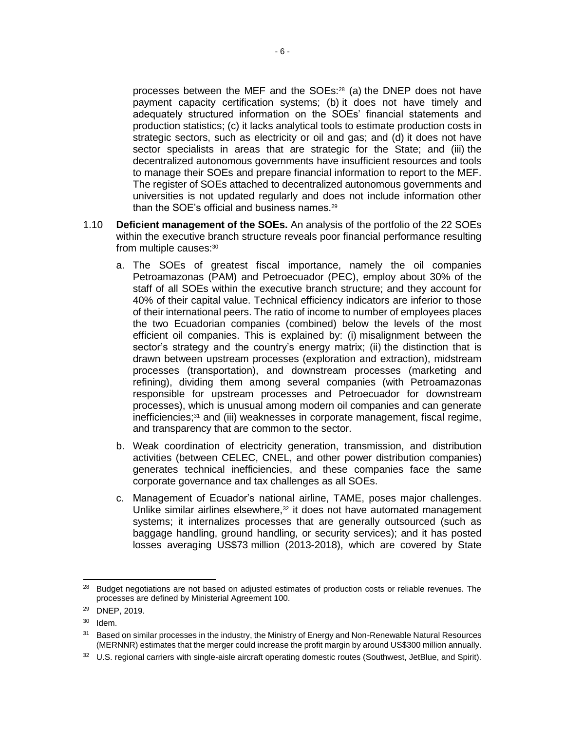processes between the MEF and the SOEs:<sup>28</sup> (a) the DNEP does not have payment capacity certification systems; (b) it does not have timely and adequately structured information on the SOEs' financial statements and production statistics; (c) it lacks analytical tools to estimate production costs in strategic sectors, such as electricity or oil and gas; and (d) it does not have sector specialists in areas that are strategic for the State; and (iii) the decentralized autonomous governments have insufficient resources and tools to manage their SOEs and prepare financial information to report to the MEF. The register of SOEs attached to decentralized autonomous governments and universities is not updated regularly and does not include information other than the SOE's official and business names.<sup>29</sup>

- 1.10 **Deficient management of the SOEs.** An analysis of the portfolio of the 22 SOEs within the executive branch structure reveals poor financial performance resulting from multiple causes:<sup>30</sup>
	- a. The SOEs of greatest fiscal importance, namely the oil companies Petroamazonas (PAM) and Petroecuador (PEC), employ about 30% of the staff of all SOEs within the executive branch structure; and they account for 40% of their capital value. Technical efficiency indicators are inferior to those of their international peers. The ratio of income to number of employees places the two Ecuadorian companies (combined) below the levels of the most efficient oil companies. This is explained by: (i) misalignment between the sector's strategy and the country's energy matrix; (ii) the distinction that is drawn between upstream processes (exploration and extraction), midstream processes (transportation), and downstream processes (marketing and refining), dividing them among several companies (with Petroamazonas responsible for upstream processes and Petroecuador for downstream processes), which is unusual among modern oil companies and can generate inefficiencies;<sup>31</sup> and (iii) weaknesses in corporate management, fiscal regime, and transparency that are common to the sector.
	- b. Weak coordination of electricity generation, transmission, and distribution activities (between CELEC, CNEL, and other power distribution companies) generates technical inefficiencies, and these companies face the same corporate governance and tax challenges as all SOEs.
	- c. Management of Ecuador's national airline, TAME, poses major challenges. Unlike similar airlines elsewhere, $32$  it does not have automated management systems; it internalizes processes that are generally outsourced (such as baggage handling, ground handling, or security services); and it has posted losses averaging US\$73 million (2013-2018), which are covered by State

 $30$  Idem.

 <sup>28</sup> Budget negotiations are not based on adjusted estimates of production costs or reliable revenues. The processes are defined by Ministerial Agreement 100.

<sup>29</sup> DNEP, 2019.

<sup>&</sup>lt;sup>31</sup> Based on similar processes in the industry, the Ministry of Energy and Non-Renewable Natural Resources (MERNNR) estimates that the merger could increase the profit margin by around US\$300 million annually.

<sup>&</sup>lt;sup>32</sup> U.S. regional carriers with single-aisle aircraft operating domestic routes (Southwest, JetBlue, and Spirit).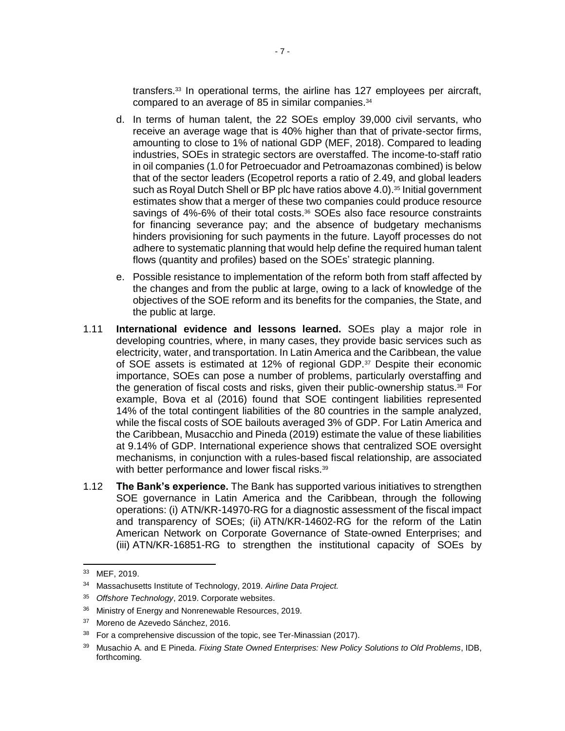transfers.<sup>33</sup> In operational terms, the airline has 127 employees per aircraft, compared to an average of 85 in similar companies.<sup>34</sup>

- d. In terms of human talent, the 22 SOEs employ 39,000 civil servants, who receive an average wage that is 40% higher than that of private-sector firms, amounting to close to 1% of national GDP (MEF, 2018). Compared to leading industries, SOEs in strategic sectors are overstaffed. The income-to-staff ratio in oil companies (1.0 for Petroecuador and Petroamazonas combined) is below that of the sector leaders (Ecopetrol reports a ratio of 2.49, and global leaders such as Royal Dutch Shell or BP plc have ratios above  $4.0$ ).<sup>35</sup> Initial government estimates show that a merger of these two companies could produce resource savings of 4%-6% of their total costs.<sup>36</sup> SOEs also face resource constraints for financing severance pay; and the absence of budgetary mechanisms hinders provisioning for such payments in the future. Layoff processes do not adhere to systematic planning that would help define the required human talent flows (quantity and profiles) based on the SOEs' strategic planning.
- e. Possible resistance to implementation of the reform both from staff affected by the changes and from the public at large, owing to a lack of knowledge of the objectives of the SOE reform and its benefits for the companies, the State, and the public at large.
- 1.11 **International evidence and lessons learned.** SOEs play a major role in developing countries, where, in many cases, they provide basic services such as electricity, water, and transportation. In Latin America and the Caribbean, the value of SOE assets is estimated at 12% of regional GDP.<sup>37</sup> Despite their economic importance, SOEs can pose a number of problems, particularly overstaffing and the generation of fiscal costs and risks, given their public-ownership status.<sup>38</sup> For example, Bova et al (2016) found that SOE contingent liabilities represented 14% of the total contingent liabilities of the 80 countries in the sample analyzed, while the fiscal costs of SOE bailouts averaged 3% of GDP. For Latin America and the Caribbean, Musacchio and Pineda (2019) estimate the value of these liabilities at 9.14% of GDP. International experience shows that centralized SOE oversight mechanisms, in conjunction with a rules-based fiscal relationship, are associated with better performance and lower fiscal risks.<sup>39</sup>
- 1.12 **The Bank's experience.** The Bank has supported various initiatives to strengthen SOE governance in Latin America and the Caribbean, through the following operations: (i) ATN/KR-14970-RG for a diagnostic assessment of the fiscal impact and transparency of SOEs; (ii) ATN/KR-14602-RG for the reform of the Latin American Network on Corporate Governance of State-owned Enterprises; and (iii) ATN/KR-16851-RG to strengthen the institutional capacity of SOEs by

<sup>33</sup> MEF, 2019.

<sup>34</sup> Massachusetts Institute of Technology, 2019. *Airline Data Project.*

<sup>35</sup> *Offshore Technology*, 2019. Corporate websites.

<sup>36</sup> Ministry of Energy and Nonrenewable Resources, 2019.

<sup>37</sup> Moreno de Azevedo Sánchez, 2016.

<sup>&</sup>lt;sup>38</sup> For a comprehensive discussion of the topic, see Ter-Minassian (2017).

<sup>39</sup> Musachio A. and E Pineda. *Fixing State Owned Enterprises: New Policy Solutions to Old Problems*, IDB, forthcoming*.*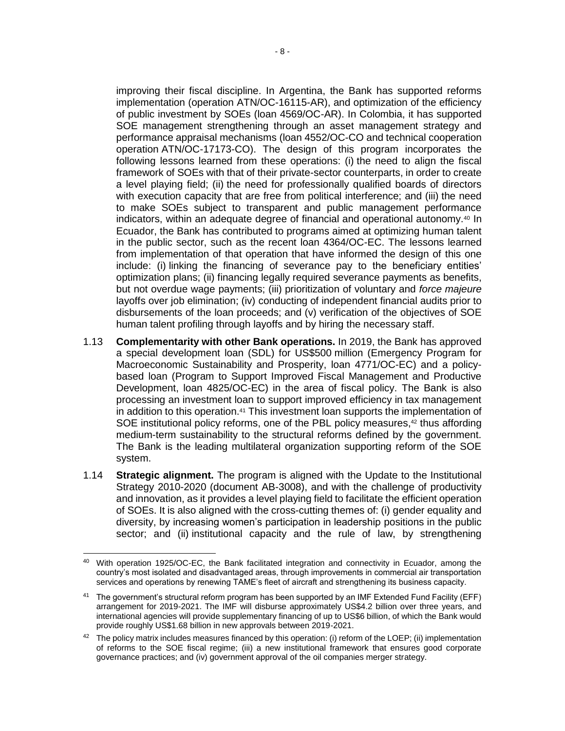improving their fiscal discipline. In Argentina, the Bank has supported reforms implementation (operation ATN/OC-16115-AR), and optimization of the efficiency of public investment by SOEs (loan 4569/OC-AR). In Colombia, it has supported SOE management strengthening through an asset management strategy and performance appraisal mechanisms (loan 4552/OC-CO and technical cooperation operation ATN/OC-17173-CO). The design of this program incorporates the following lessons learned from these operations: (i) the need to align the fiscal framework of SOEs with that of their private-sector counterparts, in order to create a level playing field; (ii) the need for professionally qualified boards of directors with execution capacity that are free from political interference; and (iii) the need to make SOEs subject to transparent and public management performance indicators, within an adequate degree of financial and operational autonomy.<sup>40</sup> In Ecuador, the Bank has contributed to programs aimed at optimizing human talent in the public sector, such as the recent loan 4364/OC-EC. The lessons learned from implementation of that operation that have informed the design of this one include: (i) linking the financing of severance pay to the beneficiary entities' optimization plans; (ii) financing legally required severance payments as benefits, but not overdue wage payments; (iii) prioritization of voluntary and *force majeure* layoffs over job elimination; (iv) conducting of independent financial audits prior to disbursements of the loan proceeds; and (v) verification of the objectives of SOE human talent profiling through layoffs and by hiring the necessary staff.

- 1.13 **Complementarity with other Bank operations.** In 2019, the Bank has approved a special development loan (SDL) for US\$500 million (Emergency Program for Macroeconomic Sustainability and Prosperity, loan 4771/OC-EC) and a policybased loan (Program to Support Improved Fiscal Management and Productive Development, loan 4825/OC-EC) in the area of fiscal policy. The Bank is also processing an investment loan to support improved efficiency in tax management in addition to this operation.<sup>41</sup> This investment loan supports the implementation of SOE institutional policy reforms, one of the PBL policy measures,<sup>42</sup> thus affording medium-term sustainability to the structural reforms defined by the government. The Bank is the leading multilateral organization supporting reform of the SOE system.
- 1.14 **Strategic alignment.** The program is aligned with the Update to the Institutional Strategy 2010-2020 (document AB-3008), and with the challenge of productivity and innovation, as it provides a level playing field to facilitate the efficient operation of SOEs. It is also aligned with the cross-cutting themes of: (i) gender equality and diversity, by increasing women's participation in leadership positions in the public sector; and (ii) institutional capacity and the rule of law, by strengthening

 <sup>40</sup> With operation 1925/OC-EC, the Bank facilitated integration and connectivity in Ecuador, among the country's most isolated and disadvantaged areas, through improvements in commercial air transportation services and operations by renewing TAME's fleet of aircraft and strengthening its business capacity.

<sup>&</sup>lt;sup>41</sup> The government's structural reform program has been supported by an IMF Extended Fund Facility (EFF) arrangement for 2019-2021. The IMF will disburse approximately US\$4.2 billion over three years, and international agencies will provide supplementary financing of up to US\$6 billion, of which the Bank would provide roughly US\$1.68 billion in new approvals between 2019-2021.

<sup>&</sup>lt;sup>42</sup> The policy matrix includes measures financed by this operation: (i) reform of the LOEP; (ii) implementation of reforms to the SOE fiscal regime; (iii) a new institutional framework that ensures good corporate governance practices; and (iv) government approval of the oil companies merger strategy.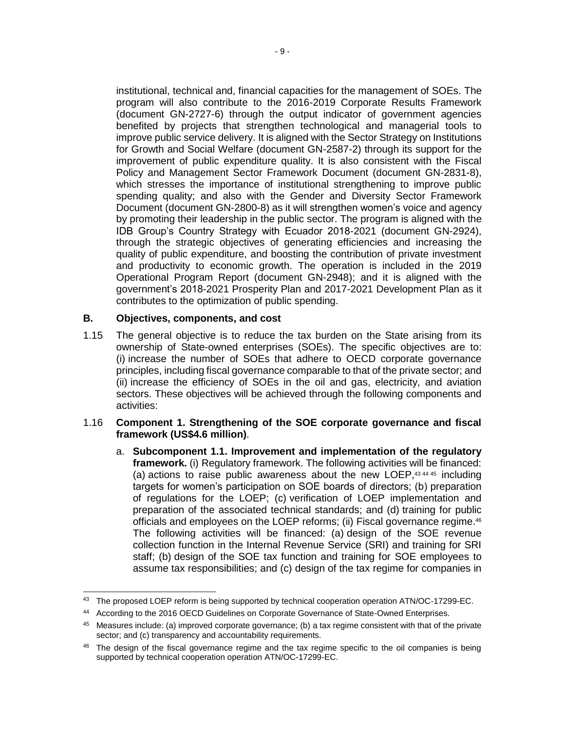institutional, technical and, financial capacities for the management of SOEs. The program will also contribute to the 2016-2019 Corporate Results Framework (document GN-2727-6) through the output indicator of government agencies benefited by projects that strengthen technological and managerial tools to improve public service delivery. It is aligned with the Sector Strategy on Institutions for Growth and Social Welfare (document GN-2587-2) through its support for the improvement of public expenditure quality. It is also consistent with the Fiscal Policy and Management Sector Framework Document (document GN-2831-8), which stresses the importance of institutional strengthening to improve public spending quality; and also with the Gender and Diversity Sector Framework Document (document GN-2800-8) as it will strengthen women's voice and agency by promoting their leadership in the public sector. The program is aligned with the IDB Group's Country Strategy with Ecuador 2018-2021 (document GN-2924), through the strategic objectives of generating efficiencies and increasing the quality of public expenditure, and boosting the contribution of private investment and productivity to economic growth. The operation is included in the 2019 Operational Program Report (document GN-2948); and it is aligned with the government's 2018-2021 Prosperity Plan and 2017-2021 Development Plan as it contributes to the optimization of public spending.

### **B. Objectives, components, and cost**

1.15 The general objective is to reduce the tax burden on the State arising from its ownership of State-owned enterprises (SOEs). The specific objectives are to: (i) increase the number of SOEs that adhere to OECD corporate governance principles, including fiscal governance comparable to that of the private sector; and (ii) increase the efficiency of SOEs in the oil and gas, electricity, and aviation sectors. These objectives will be achieved through the following components and activities:

#### 1.16 **Component 1. Strengthening of the SOE corporate governance and fiscal framework (US\$4.6 million)**.

a. **Subcomponent 1.1. Improvement and implementation of the regulatory framework.** (i) Regulatory framework. The following activities will be financed: (a) actions to raise public awareness about the new LOEP.<sup>43,44,45</sup> including targets for women's participation on SOE boards of directors; (b) preparation of regulations for the LOEP; (c) verification of LOEP implementation and preparation of the associated technical standards; and (d) training for public officials and employees on the LOEP reforms; (ii) Fiscal governance regime.<sup>46</sup> The following activities will be financed: (a) design of the SOE revenue collection function in the Internal Revenue Service (SRI) and training for SRI staff; (b) design of the SOE tax function and training for SOE employees to assume tax responsibilities; and (c) design of the tax regime for companies in

<sup>&</sup>lt;sup>43</sup> The proposed LOEP reform is being supported by technical cooperation operation ATN/OC-17299-EC.

<sup>44</sup> According to the 2016 OECD Guidelines on Corporate Governance of State-Owned Enterprises.

<sup>45</sup> Measures include: (a) improved corporate governance; (b) a tax regime consistent with that of the private sector; and (c) transparency and accountability requirements.

<sup>&</sup>lt;sup>46</sup> The design of the fiscal governance regime and the tax regime specific to the oil companies is being supported by technical cooperation operation ATN/OC-17299-EC.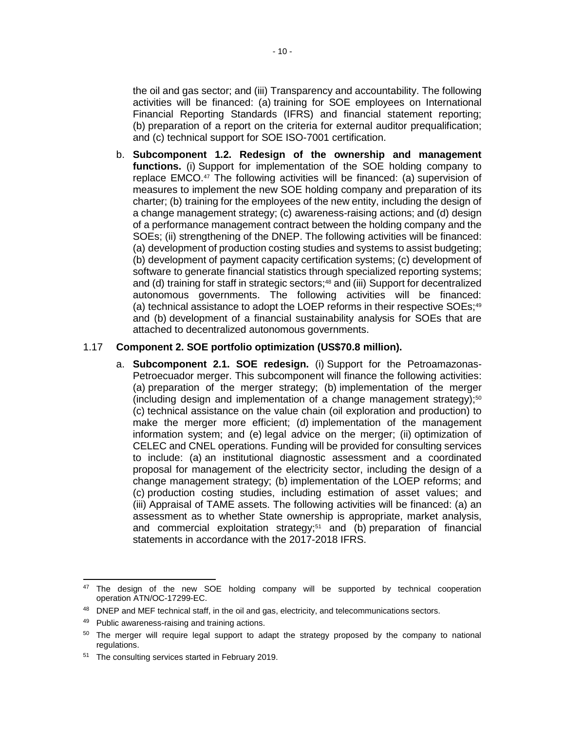the oil and gas sector; and (iii) Transparency and accountability. The following activities will be financed: (a) training for SOE employees on International Financial Reporting Standards (IFRS) and financial statement reporting; (b) preparation of a report on the criteria for external auditor prequalification; and (c) technical support for SOE ISO-7001 certification.

b. **Subcomponent 1.2. Redesign of the ownership and management functions.** (i) Support for implementation of the SOE holding company to replace EMCO.<sup>47</sup> The following activities will be financed: (a) supervision of measures to implement the new SOE holding company and preparation of its charter; (b) training for the employees of the new entity, including the design of a change management strategy; (c) awareness-raising actions; and (d) design of a performance management contract between the holding company and the SOEs; (ii) strengthening of the DNEP. The following activities will be financed: (a) development of production costing studies and systems to assist budgeting; (b) development of payment capacity certification systems; (c) development of software to generate financial statistics through specialized reporting systems; and (d) training for staff in strategic sectors;<sup>48</sup> and (iii) Support for decentralized autonomous governments. The following activities will be financed: (a) technical assistance to adopt the LOEP reforms in their respective SOEs;<sup>49</sup> and (b) development of a financial sustainability analysis for SOEs that are attached to decentralized autonomous governments.

#### 1.17 **Component 2. SOE portfolio optimization (US\$70.8 million).**

a. **Subcomponent 2.1. SOE redesign.** (i) Support for the Petroamazonas-Petroecuador merger. This subcomponent will finance the following activities: (a) preparation of the merger strategy; (b) implementation of the merger (including design and implementation of a change management strategy); $50$ (c) technical assistance on the value chain (oil exploration and production) to make the merger more efficient; (d) implementation of the management information system; and (e) legal advice on the merger; (ii) optimization of CELEC and CNEL operations. Funding will be provided for consulting services to include: (a) an institutional diagnostic assessment and a coordinated proposal for management of the electricity sector, including the design of a change management strategy; (b) implementation of the LOEP reforms; and (c) production costing studies, including estimation of asset values; and (iii) Appraisal of TAME assets. The following activities will be financed: (a) an assessment as to whether State ownership is appropriate, market analysis, and commercial exploitation strategy;<sup>51</sup> and (b) preparation of financial statements in accordance with the 2017-2018 IFRS.

<sup>&</sup>lt;sup>47</sup> The design of the new SOE holding company will be supported by technical cooperation operation ATN/OC-17299-EC.

DNEP and MEF technical staff, in the oil and gas, electricity, and telecommunications sectors.

<sup>49</sup> Public awareness-raising and training actions.

<sup>&</sup>lt;sup>50</sup> The merger will require legal support to adapt the strategy proposed by the company to national regulations.

<sup>51</sup> The consulting services started in February 2019.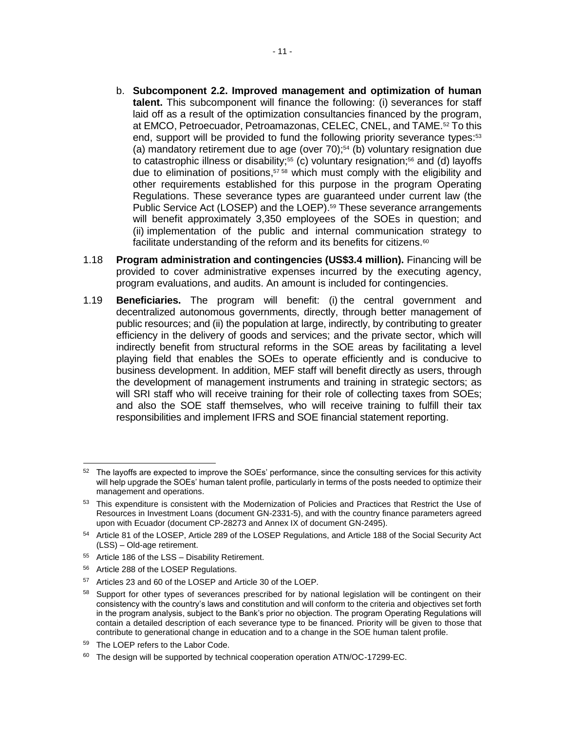- b. **Subcomponent 2.2. Improved management and optimization of human talent.** This subcomponent will finance the following: (i) severances for staff laid off as a result of the optimization consultancies financed by the program, at EMCO, Petroecuador, Petroamazonas, CELEC, CNEL, and TAME.<sup>52</sup> To this end, support will be provided to fund the following priority severance types: 53 (a) mandatory retirement due to age (over  $70$ );<sup>54</sup> (b) voluntary resignation due to catastrophic illness or disability;<sup>55</sup> (c) voluntary resignation;<sup>56</sup> and (d) layoffs due to elimination of positions, <sup>57</sup> <sup>58</sup> which must comply with the eligibility and other requirements established for this purpose in the program Operating Regulations. These severance types are guaranteed under current law (the Public Service Act (LOSEP) and the LOEP).<sup>59</sup> These severance arrangements will benefit approximately 3,350 employees of the SOEs in question; and (ii) implementation of the public and internal communication strategy to facilitate understanding of the reform and its benefits for citizens.<sup>60</sup>
- 1.18 **Program administration and contingencies (US\$3.4 million).** Financing will be provided to cover administrative expenses incurred by the executing agency, program evaluations, and audits. An amount is included for contingencies.
- 1.19 **Beneficiaries.** The program will benefit: (i) the central government and decentralized autonomous governments, directly, through better management of public resources; and (ii) the population at large, indirectly, by contributing to greater efficiency in the delivery of goods and services; and the private sector, which will indirectly benefit from structural reforms in the SOE areas by facilitating a level playing field that enables the SOEs to operate efficiently and is conducive to business development. In addition, MEF staff will benefit directly as users, through the development of management instruments and training in strategic sectors; as will SRI staff who will receive training for their role of collecting taxes from SOEs; and also the SOE staff themselves, who will receive training to fulfill their tax responsibilities and implement IFRS and SOE financial statement reporting.

- <sup>55</sup> Article 186 of the LSS Disability Retirement.
- <sup>56</sup> Article 288 of the LOSEP Regulations.
- <sup>57</sup> Articles 23 and 60 of the LOSEP and Article 30 of the LOEP.

 <sup>52</sup> The lavoffs are expected to improve the SOEs' performance, since the consulting services for this activity will help upgrade the SOEs' human talent profile, particularly in terms of the posts needed to optimize their management and operations.

<sup>53</sup> This expenditure is consistent with the Modernization of Policies and Practices that Restrict the Use of Resources in Investment Loans (document GN-2331-5), and with the country finance parameters agreed upon with Ecuador (document CP-28273 and Annex IX of document GN-2495).

<sup>54</sup> Article 81 of the LOSEP, Article 289 of the LOSEP Regulations, and Article 188 of the Social Security Act (LSS) – Old-age retirement.

<sup>58</sup> Support for other types of severances prescribed for by national legislation will be contingent on their consistency with the country's laws and constitution and will conform to the criteria and objectives set forth in the program analysis, subject to the Bank's prior no objection. The program Operating Regulations will contain a detailed description of each severance type to be financed. Priority will be given to those that contribute to generational change in education and to a change in the SOE human talent profile.

<sup>59</sup> The LOEP refers to the Labor Code.

<sup>&</sup>lt;sup>60</sup> The design will be supported by technical cooperation operation ATN/OC-17299-EC.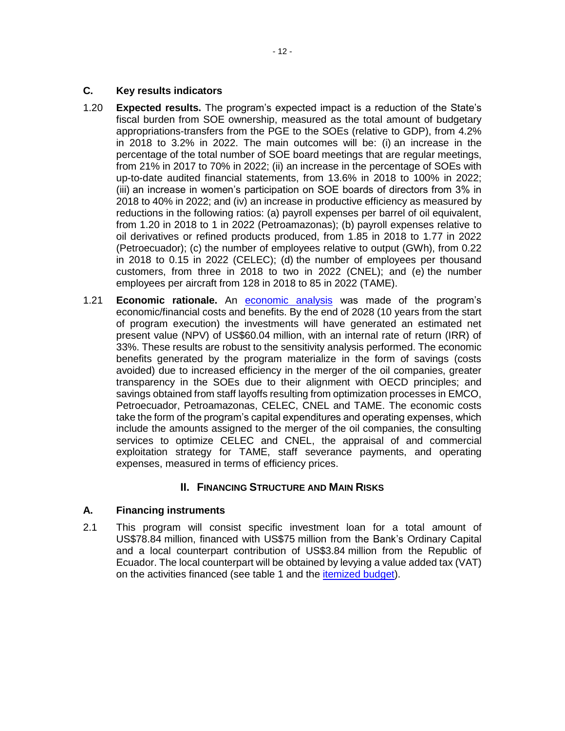- 1.20 **Expected results.** The program's expected impact is a reduction of the State's fiscal burden from SOE ownership, measured as the total amount of budgetary appropriations-transfers from the PGE to the SOEs (relative to GDP), from 4.2% in 2018 to 3.2% in 2022. The main outcomes will be: (i) an increase in the percentage of the total number of SOE board meetings that are regular meetings, from 21% in 2017 to 70% in 2022; (ii) an increase in the percentage of SOEs with up-to-date audited financial statements, from 13.6% in 2018 to 100% in 2022; (iii) an increase in women's participation on SOE boards of directors from 3% in 2018 to 40% in 2022; and (iv) an increase in productive efficiency as measured by reductions in the following ratios: (a) payroll expenses per barrel of oil equivalent, from 1.20 in 2018 to 1 in 2022 (Petroamazonas); (b) payroll expenses relative to oil derivatives or refined products produced, from 1.85 in 2018 to 1.77 in 2022 (Petroecuador); (c) the number of employees relative to output (GWh), from 0.22 in 2018 to 0.15 in 2022 (CELEC); (d) the number of employees per thousand customers, from three in 2018 to two in 2022 (CNEL); and (e) the number employees per aircraft from 128 in 2018 to 85 in 2022 (TAME).
- 1.21 **Economic rationale.** An [economic analysis](http://idbdocs.iadb.org/wsdocs/getDocument.aspx?DOCNUM=EZSHARE-1354788817-10) was made of the program's economic/financial costs and benefits. By the end of 2028 (10 years from the start of program execution) the investments will have generated an estimated net present value (NPV) of US\$60.04 million, with an internal rate of return (IRR) of 33%. These results are robust to the sensitivity analysis performed. The economic benefits generated by the program materialize in the form of savings (costs avoided) due to increased efficiency in the merger of the oil companies, greater transparency in the SOEs due to their alignment with OECD principles; and savings obtained from staff layoffs resulting from optimization processes in EMCO, Petroecuador, Petroamazonas, CELEC, CNEL and TAME. The economic costs take the form of the program's capital expenditures and operating expenses, which include the amounts assigned to the merger of the oil companies, the consulting services to optimize CELEC and CNEL, the appraisal of and commercial exploitation strategy for TAME, staff severance payments, and operating expenses, measured in terms of efficiency prices.

# **II. FINANCING STRUCTURE AND MAIN RISKS**

# **A. Financing instruments**

2.1 This program will consist specific investment loan for a total amount of US\$78.84 million, financed with US\$75 million from the Bank's Ordinary Capital and a local counterpart contribution of US\$3.84 million from the Republic of Ecuador. The local counterpart will be obtained by levying a value added tax (VAT) on the activities financed (see table 1 and the *[itemized budget\)](http://idbdocs.iadb.org/wsdocs/getDocument.aspx?DOCNUM=EZSHARE-1354788817-3)*.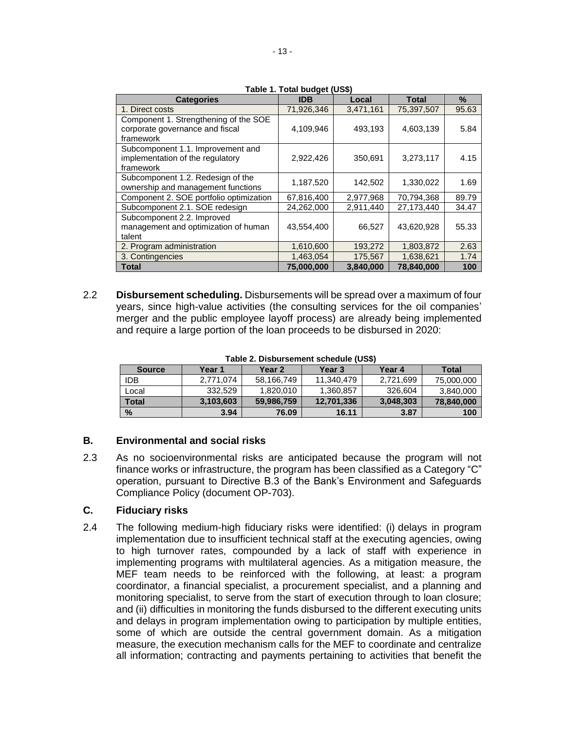| <b>Categories</b>                                                                     | $1400 - 11100 - 1000$<br><b>IDB</b> | Local     | Total      | $\%$  |
|---------------------------------------------------------------------------------------|-------------------------------------|-----------|------------|-------|
| 1. Direct costs                                                                       | 71,926,346                          | 3,471,161 | 75,397,507 | 95.63 |
| Component 1. Strengthening of the SOE<br>corporate governance and fiscal<br>framework | 4,109,946                           | 493,193   | 4,603,139  | 5.84  |
| Subcomponent 1.1. Improvement and<br>implementation of the regulatory<br>framework    | 2,922,426                           | 350,691   | 3,273,117  | 4.15  |
| Subcomponent 1.2. Redesign of the<br>ownership and management functions               | 1,187,520                           | 142,502   | 1,330,022  | 1.69  |
| Component 2. SOE portfolio optimization                                               | 67,816,400                          | 2,977,968 | 70,794,368 | 89.79 |
| Subcomponent 2.1. SOE redesign                                                        | 24,262,000                          | 2,911,440 | 27,173,440 | 34.47 |
| Subcomponent 2.2. Improved<br>management and optimization of human<br>talent          | 43,554,400                          | 66,527    | 43,620,928 | 55.33 |
| 2. Program administration                                                             | 1,610,600                           | 193,272   | 1,803,872  | 2.63  |
| 3. Contingencies                                                                      | 1,463,054                           | 175,567   | 1,638,621  | 1.74  |
| <b>Total</b>                                                                          | 75,000,000                          | 3.840.000 | 78.840.000 | 100   |

**Table 1. Total budget (US\$)**

2.2 **Disbursement scheduling.** Disbursements will be spread over a maximum of four years, since high-value activities (the consulting services for the oil companies' merger and the public employee layoff process) are already being implemented and require a large portion of the loan proceeds to be disbursed in 2020:

| Table 2. Disbursement schedule (US\$) |  |
|---------------------------------------|--|
|---------------------------------------|--|

| <b>Source</b> | Year 1    | Year 2     | Year 3     | Year 4    | <b>Total</b> |
|---------------|-----------|------------|------------|-----------|--------------|
| <b>IDB</b>    | 2.771.074 | 58,166,749 | 11,340,479 | 2,721,699 | 75,000,000   |
| Local         | 332.529   | 1.820.010  | 1,360,857  | 326.604   | 3,840,000    |
| Total         | 3,103,603 | 59,986,759 | 12,701,336 | 3,048,303 | 78,840,000   |
| $\frac{0}{2}$ | 3.94      | 76.09      | 16.11      | 3.87      | 100          |

#### **B. Environmental and social risks**

2.3 As no socioenvironmental risks are anticipated because the program will not finance works or infrastructure, the program has been classified as a Category "C" operation, pursuant to Directive B.3 of the Bank's Environment and Safeguards Compliance Policy (document OP-703).

# **C. Fiduciary risks**

2.4 The following medium-high fiduciary risks were identified: (i) delays in program implementation due to insufficient technical staff at the executing agencies, owing to high turnover rates, compounded by a lack of staff with experience in implementing programs with multilateral agencies. As a mitigation measure, the MEF team needs to be reinforced with the following, at least: a program coordinator, a financial specialist, a procurement specialist, and a planning and monitoring specialist, to serve from the start of execution through to loan closure; and (ii) difficulties in monitoring the funds disbursed to the different executing units and delays in program implementation owing to participation by multiple entities, some of which are outside the central government domain. As a mitigation measure, the execution mechanism calls for the MEF to coordinate and centralize all information; contracting and payments pertaining to activities that benefit the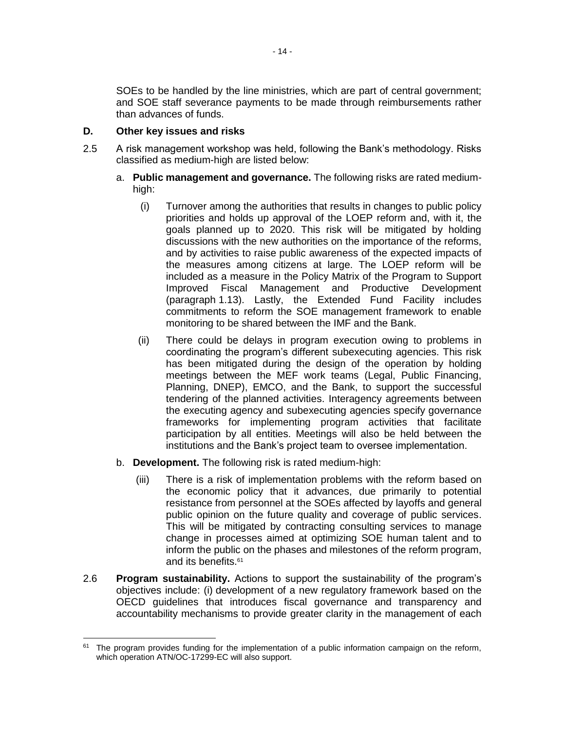SOEs to be handled by the line ministries, which are part of central government; and SOE staff severance payments to be made through reimbursements rather than advances of funds.

# **D. Other key issues and risks**

- 2.5 A risk management workshop was held, following the Bank's methodology. Risks classified as medium-high are listed below:
	- a. **Public management and governance.** The following risks are rated mediumhigh:
		- (i) Turnover among the authorities that results in changes to public policy priorities and holds up approval of the LOEP reform and, with it, the goals planned up to 2020. This risk will be mitigated by holding discussions with the new authorities on the importance of the reforms, and by activities to raise public awareness of the expected impacts of the measures among citizens at large. The LOEP reform will be included as a measure in the Policy Matrix of the Program to Support Improved Fiscal Management and Productive Development (paragraph 1.13). Lastly, the Extended Fund Facility includes commitments to reform the SOE management framework to enable monitoring to be shared between the IMF and the Bank.
		- (ii) There could be delays in program execution owing to problems in coordinating the program's different subexecuting agencies. This risk has been mitigated during the design of the operation by holding meetings between the MEF work teams (Legal, Public Financing, Planning, DNEP), EMCO, and the Bank, to support the successful tendering of the planned activities. Interagency agreements between the executing agency and subexecuting agencies specify governance frameworks for implementing program activities that facilitate participation by all entities. Meetings will also be held between the institutions and the Bank's project team to oversee implementation.
	- b. **Development.** The following risk is rated medium-high:
		- (iii) There is a risk of implementation problems with the reform based on the economic policy that it advances, due primarily to potential resistance from personnel at the SOEs affected by layoffs and general public opinion on the future quality and coverage of public services. This will be mitigated by contracting consulting services to manage change in processes aimed at optimizing SOE human talent and to inform the public on the phases and milestones of the reform program, and its benefits.<sup>61</sup>
- 2.6 **Program sustainability.** Actions to support the sustainability of the program's objectives include: (i) development of a new regulatory framework based on the OECD guidelines that introduces fiscal governance and transparency and accountability mechanisms to provide greater clarity in the management of each

 $\overline{a}$ <sup>61</sup> The program provides funding for the implementation of a public information campaign on the reform, which operation ATN/OC-17299-EC will also support.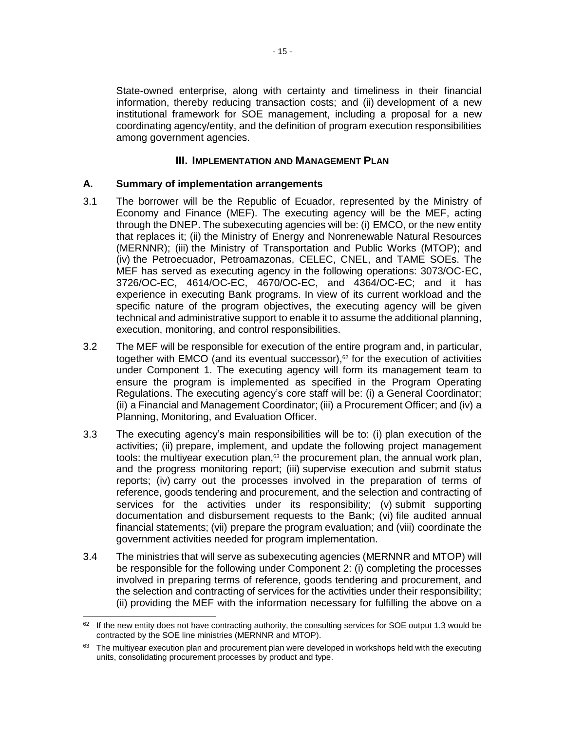State-owned enterprise, along with certainty and timeliness in their financial information, thereby reducing transaction costs; and (ii) development of a new institutional framework for SOE management, including a proposal for a new coordinating agency/entity, and the definition of program execution responsibilities among government agencies.

# **III. IMPLEMENTATION AND MANAGEMENT PLAN**

#### **A. Summary of implementation arrangements**

- 3.1 The borrower will be the Republic of Ecuador, represented by the Ministry of Economy and Finance (MEF). The executing agency will be the MEF, acting through the DNEP. The subexecuting agencies will be: (i) EMCO, or the new entity that replaces it; (ii) the Ministry of Energy and Nonrenewable Natural Resources (MERNNR); (iii) the Ministry of Transportation and Public Works (MTOP); and (iv) the Petroecuador, Petroamazonas, CELEC, CNEL, and TAME SOEs. The MEF has served as executing agency in the following operations: 3073/OC-EC, 3726/OC-EC, 4614/OC-EC, 4670/OC-EC, and 4364/OC-EC; and it has experience in executing Bank programs. In view of its current workload and the specific nature of the program objectives, the executing agency will be given technical and administrative support to enable it to assume the additional planning, execution, monitoring, and control responsibilities.
- 3.2 The MEF will be responsible for execution of the entire program and, in particular, together with EMCO (and its eventual successor), $62$  for the execution of activities under Component 1. The executing agency will form its management team to ensure the program is implemented as specified in the Program Operating Regulations. The executing agency's core staff will be: (i) a General Coordinator; (ii) a Financial and Management Coordinator; (iii) a Procurement Officer; and (iv) a Planning, Monitoring, and Evaluation Officer.
- 3.3 The executing agency's main responsibilities will be to: (i) plan execution of the activities; (ii) prepare, implement, and update the following project management tools: the multiyear execution plan, $63$  the procurement plan, the annual work plan, and the progress monitoring report; (iii) supervise execution and submit status reports; (iv) carry out the processes involved in the preparation of terms of reference, goods tendering and procurement, and the selection and contracting of services for the activities under its responsibility; (v) submit supporting documentation and disbursement requests to the Bank; (vi) file audited annual financial statements; (vii) prepare the program evaluation; and (viii) coordinate the government activities needed for program implementation.
- 3.4 The ministries that will serve as subexecuting agencies (MERNNR and MTOP) will be responsible for the following under Component 2: (i) completing the processes involved in preparing terms of reference, goods tendering and procurement, and the selection and contracting of services for the activities under their responsibility; (ii) providing the MEF with the information necessary for fulfilling the above on a

<sup>&</sup>lt;sup>62</sup> If the new entity does not have contracting authority, the consulting services for SOE output 1.3 would be contracted by the SOE line ministries (MERNNR and MTOP).

 $63$  The multiyear execution plan and procurement plan were developed in workshops held with the executing units, consolidating procurement processes by product and type.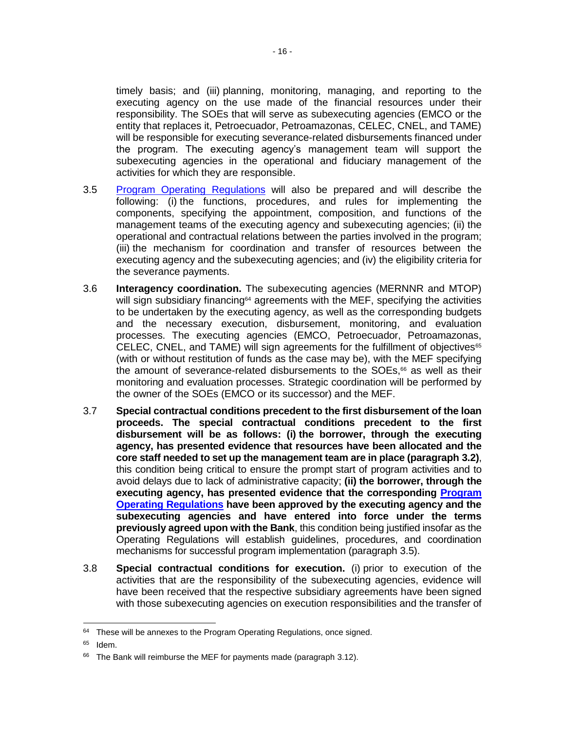timely basis; and (iii) planning, monitoring, managing, and reporting to the executing agency on the use made of the financial resources under their responsibility. The SOEs that will serve as subexecuting agencies (EMCO or the entity that replaces it, Petroecuador, Petroamazonas, CELEC, CNEL, and TAME) will be responsible for executing severance-related disbursements financed under the program. The executing agency's management team will support the subexecuting agencies in the operational and fiduciary management of the activities for which they are responsible.

- 3.5 [Program Operating Regulations](http://idbdocs.iadb.org/wsdocs/getDocument.aspx?DOCNUM=EZSHARE-1354788817-11) will also be prepared and will describe the following: (i) the functions, procedures, and rules for implementing the components, specifying the appointment, composition, and functions of the management teams of the executing agency and subexecuting agencies; (ii) the operational and contractual relations between the parties involved in the program; (iii) the mechanism for coordination and transfer of resources between the executing agency and the subexecuting agencies; and (iv) the eligibility criteria for the severance payments.
- 3.6 **Interagency coordination.** The subexecuting agencies (MERNNR and MTOP) will sign subsidiary financing<sup> $64$ </sup> agreements with the MEF, specifying the activities to be undertaken by the executing agency, as well as the corresponding budgets and the necessary execution, disbursement, monitoring, and evaluation processes. The executing agencies (EMCO, Petroecuador, Petroamazonas, CELEC, CNEL, and TAME) will sign agreements for the fulfillment of objectives $65$ (with or without restitution of funds as the case may be), with the MEF specifying the amount of severance-related disbursements to the SOEs,<sup>66</sup> as well as their monitoring and evaluation processes. Strategic coordination will be performed by the owner of the SOEs (EMCO or its successor) and the MEF.
- 3.7 **Special contractual conditions precedent to the first disbursement of the loan proceeds. The special contractual conditions precedent to the first disbursement will be as follows: (i) the borrower, through the executing agency, has presented evidence that resources have been allocated and the core staff needed to set up the management team are in place (paragraph 3.2)**, this condition being critical to ensure the prompt start of program activities and to avoid delays due to lack of administrative capacity; **(ii) the borrower, through the executing agency, has presented evidence that the corresponding [Program](http://idbdocs.iadb.org/wsdocs/getDocument.aspx?DOCNUM=EZSHARE-1354788817-11)  [Operating Regulations](http://idbdocs.iadb.org/wsdocs/getDocument.aspx?DOCNUM=EZSHARE-1354788817-11) have been approved by the executing agency and the subexecuting agencies and have entered into force under the terms previously agreed upon with the Bank**, this condition being justified insofar as the Operating Regulations will establish guidelines, procedures, and coordination mechanisms for successful program implementation (paragraph 3.5).
- 3.8 **Special contractual conditions for execution.** (i) prior to execution of the activities that are the responsibility of the subexecuting agencies, evidence will have been received that the respective subsidiary agreements have been signed with those subexecuting agencies on execution responsibilities and the transfer of

  $64$  These will be annexes to the Program Operating Regulations, once signed.

<sup>65</sup> Idem.

<sup>&</sup>lt;sup>66</sup> The Bank will reimburse the MEF for payments made (paragraph [3.12\)](#page-21-0).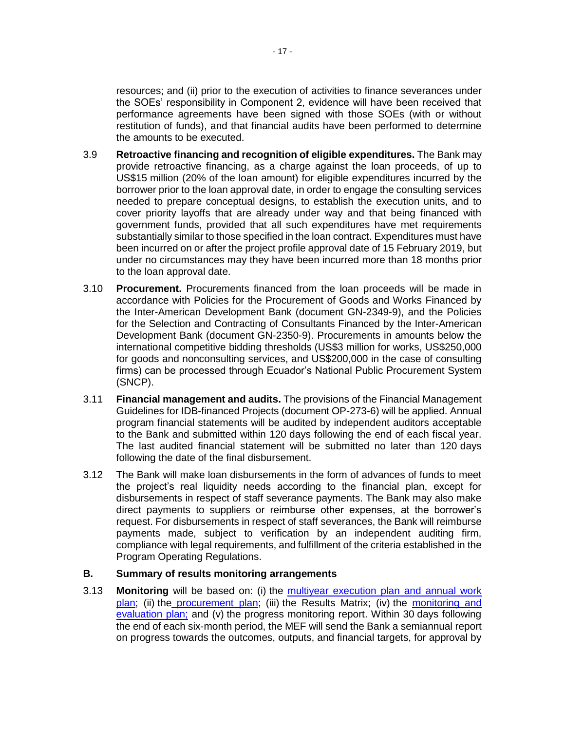resources; and (ii) prior to the execution of activities to finance severances under the SOEs' responsibility in Component 2, evidence will have been received that performance agreements have been signed with those SOEs (with or without restitution of funds), and that financial audits have been performed to determine the amounts to be executed.

- 3.9 **Retroactive financing and recognition of eligible expenditures.** The Bank may provide retroactive financing, as a charge against the loan proceeds, of up to US\$15 million (20% of the loan amount) for eligible expenditures incurred by the borrower prior to the loan approval date, in order to engage the consulting services needed to prepare conceptual designs, to establish the execution units, and to cover priority layoffs that are already under way and that being financed with government funds, provided that all such expenditures have met requirements substantially similar to those specified in the loan contract. Expenditures must have been incurred on or after the project profile approval date of 15 February 2019, but under no circumstances may they have been incurred more than 18 months prior to the loan approval date.
- 3.10 **Procurement.** Procurements financed from the loan proceeds will be made in accordance with Policies for the Procurement of Goods and Works Financed by the Inter-American Development Bank (document GN-2349-9), and the Policies for the Selection and Contracting of Consultants Financed by the Inter-American Development Bank (document GN-2350-9). Procurements in amounts below the international competitive bidding thresholds (US\$3 million for works, US\$250,000 for goods and nonconsulting services, and US\$200,000 in the case of consulting firms) can be processed through Ecuador's National Public Procurement System (SNCP).
- 3.11 **Financial management and audits.** The provisions of the Financial Management Guidelines for IDB-financed Projects (document OP-273-6) will be applied. Annual program financial statements will be audited by independent auditors acceptable to the Bank and submitted within 120 days following the end of each fiscal year. The last audited financial statement will be submitted no later than 120 days following the date of the final disbursement.
- <span id="page-21-0"></span>3.12 The Bank will make loan disbursements in the form of advances of funds to meet the project's real liquidity needs according to the financial plan, except for disbursements in respect of staff severance payments. The Bank may also make direct payments to suppliers or reimburse other expenses, at the borrower's request. For disbursements in respect of staff severances, the Bank will reimburse payments made, subject to verification by an independent auditing firm, compliance with legal requirements, and fulfillment of the criteria established in the Program Operating Regulations.

# **B. Summary of results monitoring arrangements**

3.13 **Monitoring** will be based on: (i) the [multiyear execution plan and annual work](http://idbdocs.iadb.org/wsdocs/getDocument.aspx?DOCNUM=EZSHARE-1354788817-3)  [plan;](http://idbdocs.iadb.org/wsdocs/getDocument.aspx?DOCNUM=EZSHARE-1354788817-3) (ii) the [procurement](http://idbdocs.iadb.org/wsdocs/getDocument.aspx?DOCNUM=EZSHARE-1354788817-3) plan; (iii) the Results Matrix; (iv) the monitoring and [evaluation plan;](http://idbdocs.iadb.org/wsdocs/getDocument.aspx?DOCNUM=EZSHARE-1354788817-12) and (v) the progress monitoring report. Within 30 days following the end of each six-month period, the MEF will send the Bank a semiannual report on progress towards the outcomes, outputs, and financial targets, for approval by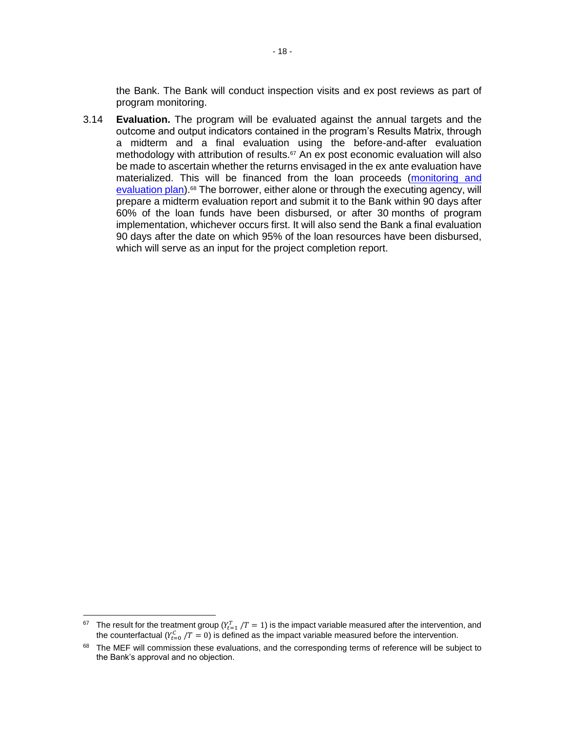the Bank. The Bank will conduct inspection visits and ex post reviews as part of program monitoring.

3.14 **Evaluation.** The program will be evaluated against the annual targets and the outcome and output indicators contained in the program's Results Matrix, through a midterm and a final evaluation using the before-and-after evaluation methodology with attribution of results.<sup>67</sup> An ex post economic evaluation will also be made to ascertain whether the returns envisaged in the ex ante evaluation have materialized. This will be financed from the loan proceeds [\(monitoring and](http://idbdocs.iadb.org/wsdocs/getDocument.aspx?DOCNUM=EZSHARE-1354788817-12)  [evaluation plan\).](http://idbdocs.iadb.org/wsdocs/getDocument.aspx?DOCNUM=EZSHARE-1354788817-12)<sup>68</sup> The borrower, either alone or through the executing agency, will prepare a midterm evaluation report and submit it to the Bank within 90 days after 60% of the loan funds have been disbursed, or after 30 months of program implementation, whichever occurs first. It will also send the Bank a final evaluation 90 days after the date on which 95% of the loan resources have been disbursed, which will serve as an input for the project completion report.

 $67$  The result for the treatment group ( $Y_{t=1}^T/T=1$ ) is the impact variable measured after the intervention, and the counterfactual ( $Y_{t=0}^{C}/T=0$ ) is defined as the impact variable measured before the intervention.

<sup>&</sup>lt;sup>68</sup> The MEF will commission these evaluations, and the corresponding terms of reference will be subject to the Bank's approval and no objection.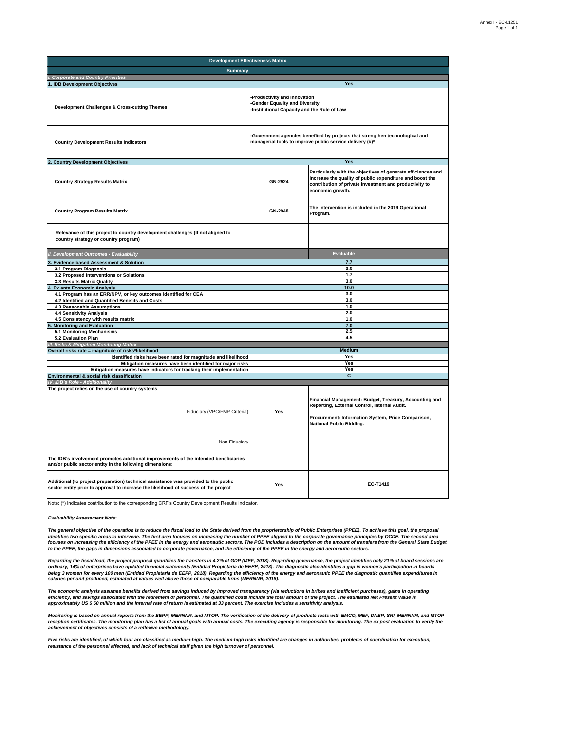| <b>Development Effectiveness Matrix</b>                                                                                                                                     |                                                                                                                                          |                                                                                                                                                                                                        |  |  |  |  |  |  |
|-----------------------------------------------------------------------------------------------------------------------------------------------------------------------------|------------------------------------------------------------------------------------------------------------------------------------------|--------------------------------------------------------------------------------------------------------------------------------------------------------------------------------------------------------|--|--|--|--|--|--|
| <b>Summarv</b>                                                                                                                                                              |                                                                                                                                          |                                                                                                                                                                                                        |  |  |  |  |  |  |
| I. Corporate and Country Priorities                                                                                                                                         |                                                                                                                                          |                                                                                                                                                                                                        |  |  |  |  |  |  |
| I. IDB Development Objectives                                                                                                                                               |                                                                                                                                          | Yes                                                                                                                                                                                                    |  |  |  |  |  |  |
| Development Challenges & Cross-cutting Themes                                                                                                                               | -Productivity and Innovation<br>-Gender Equality and Diversity<br>-Institutional Capacity and the Rule of Law                            |                                                                                                                                                                                                        |  |  |  |  |  |  |
| <b>Country Development Results Indicators</b>                                                                                                                               | -Government agencies benefited by projects that strengthen technological and<br>managerial tools to improve public service delivery (#)* |                                                                                                                                                                                                        |  |  |  |  |  |  |
| 2. Country Development Objectives                                                                                                                                           |                                                                                                                                          | Yes                                                                                                                                                                                                    |  |  |  |  |  |  |
| <b>Country Strategy Results Matrix</b>                                                                                                                                      | GN-2924                                                                                                                                  | Particularly with the objectives of generate efficiences and<br>increase the quality of public expenditure and boost the<br>contribution of private investment and productivity to<br>economic growth. |  |  |  |  |  |  |
| <b>Country Program Results Matrix</b>                                                                                                                                       | GN-2948                                                                                                                                  | The intervention is included in the 2019 Operational<br>Program.                                                                                                                                       |  |  |  |  |  |  |
| Relevance of this project to country development challenges (If not aligned to<br>country strategy or country program)                                                      |                                                                                                                                          |                                                                                                                                                                                                        |  |  |  |  |  |  |
| <b>Development Outcomes - Evaluability</b>                                                                                                                                  |                                                                                                                                          | <b>Evaluable</b>                                                                                                                                                                                       |  |  |  |  |  |  |
| <b>Evidence-based Assessment &amp; Solution</b>                                                                                                                             |                                                                                                                                          | 7.7                                                                                                                                                                                                    |  |  |  |  |  |  |
| 3.1 Program Diagnosis                                                                                                                                                       |                                                                                                                                          | 3.0                                                                                                                                                                                                    |  |  |  |  |  |  |
| 3.2 Proposed Interventions or Solutions                                                                                                                                     |                                                                                                                                          | 1.7                                                                                                                                                                                                    |  |  |  |  |  |  |
| 3.3 Results Matrix Quality                                                                                                                                                  | 3.0                                                                                                                                      |                                                                                                                                                                                                        |  |  |  |  |  |  |
| <b>Ex ante Economic Analysis</b>                                                                                                                                            | 10.0                                                                                                                                     |                                                                                                                                                                                                        |  |  |  |  |  |  |
| 4.1 Program has an ERR/NPV, or key outcomes identified for CEA                                                                                                              | 3.0                                                                                                                                      |                                                                                                                                                                                                        |  |  |  |  |  |  |
| 4.2 Identified and Quantified Benefits and Costs                                                                                                                            | 3.0                                                                                                                                      |                                                                                                                                                                                                        |  |  |  |  |  |  |
| 4.3 Reasonable Assumptions                                                                                                                                                  |                                                                                                                                          | 1.0<br>2.0                                                                                                                                                                                             |  |  |  |  |  |  |
| <b>4.4 Sensitivity Analysis</b>                                                                                                                                             |                                                                                                                                          | 1.0                                                                                                                                                                                                    |  |  |  |  |  |  |
| 4.5 Consistency with results matrix<br><b>Monitoring and Evaluation</b>                                                                                                     | 7.0                                                                                                                                      |                                                                                                                                                                                                        |  |  |  |  |  |  |
| 5.1 Monitoring Mechanisms                                                                                                                                                   |                                                                                                                                          | 2.5                                                                                                                                                                                                    |  |  |  |  |  |  |
| 5.2 Evaluation Plan                                                                                                                                                         |                                                                                                                                          | 4.5                                                                                                                                                                                                    |  |  |  |  |  |  |
| <b>Risks &amp; Mitigation Monitoring Matrix</b>                                                                                                                             |                                                                                                                                          |                                                                                                                                                                                                        |  |  |  |  |  |  |
| Overall risks rate = magnitude of risks*likelihood                                                                                                                          |                                                                                                                                          | Medium                                                                                                                                                                                                 |  |  |  |  |  |  |
| Identified risks have been rated for magnitude and likelihood                                                                                                               |                                                                                                                                          | Yes                                                                                                                                                                                                    |  |  |  |  |  |  |
| Mitigation measures have been identified for major risks                                                                                                                    |                                                                                                                                          | Yes                                                                                                                                                                                                    |  |  |  |  |  |  |
| Mitigation measures have indicators for tracking their implementation                                                                                                       | Yes                                                                                                                                      |                                                                                                                                                                                                        |  |  |  |  |  |  |
| Environmental & social risk classification                                                                                                                                  |                                                                                                                                          | C                                                                                                                                                                                                      |  |  |  |  |  |  |
| IV. IDB's Role - Additionality                                                                                                                                              |                                                                                                                                          |                                                                                                                                                                                                        |  |  |  |  |  |  |
| The project relies on the use of country systems<br>Fiduciary (VPC/FMP Criteria)                                                                                            | Yes                                                                                                                                      | Financial Management: Budget, Treasury, Accounting and<br>Reporting, External Control, Internal Audit.<br>Procurement: Information System, Price Comparison,<br><b>National Public Bidding.</b>        |  |  |  |  |  |  |
| Non-Fiduciary                                                                                                                                                               |                                                                                                                                          |                                                                                                                                                                                                        |  |  |  |  |  |  |
| The IDB's involvement promotes additional improvements of the intended beneficiaries<br>and/or public sector entity in the following dimensions:                            |                                                                                                                                          |                                                                                                                                                                                                        |  |  |  |  |  |  |
| Additional (to project preparation) technical assistance was provided to the public<br>sector entity prior to approval to increase the likelihood of success of the project | Yes                                                                                                                                      | EC-T1419                                                                                                                                                                                               |  |  |  |  |  |  |

Note: (\*) Indicates contribution to the corresponding CRF's Country Development Results Indicator.

*Evaluability Assessment Note:* 

The general objective of the operation is to reduce the fiscal load to the State derived from the proprietorship of Public Enterprises (PPEE). To achieve this goal, the proposal<br>identifies two specific areas to intervene. *focuses on increasing the efficiency of the PPEE in the energy and aeronautic sectors. The POD includes a description on the amount of transfers from the General State Budget to the PPEE, the gaps in dimensions associated to corporate governance, and the efficiency of the PPEE in the energy and aeronautic sectors.* 

Regarding the fiscal load, the project proposal quantifies the transfers in 4.2% of GDP (MEF, 2018). Regarding governance, the project identifies only 21% of board sessions are<br>ordinary, 14% of enterprises have updated fin *salaries per unit produced, estimated at values well above those of comparable firms (MERNNR, 2018).*

The economic analysis assumes benefits derived from savings induced by improved transparency (via reductions in bribes and inefficient purchases), gains in operating<br>efficiency, and savings associated with the retirement o *approximately US \$ 60 million and the internal rate of return is estimated at 33 percent. The exercise includes a sensitivity analysis.*

Monitoring is based on annual reports from the EEPP, MERNNR, and MTOP. The verification of the delivery of products rests with EMCO, MEF, DNEP, SRI, MERNNR, and MTOP<br>reception certificates. The monitoring plan has a list o

Five risks are identified, of which four are classified as medium-high. The medium-high risks identified are changes in authorities, problems of coordination for execution,<br>resistance of the personnel affected, and lack of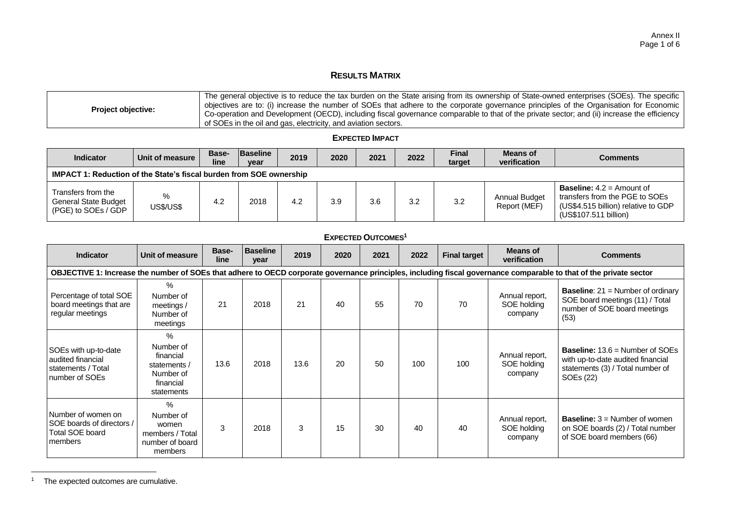# **RESULTS MATRIX**

| <b>Project objective:</b> | The general objective is to reduce the tax burden on the State arising from its ownership of State-owned enterprises (SOEs). The specific<br>objectives are to: (i) increase the number of SOEs that adhere to the corporate governance principles of the Organisation for Economic<br>Co-operation and Development (OECD), including fiscal governance comparable to that of the private sector; and (ii) increase the efficiency list of the private sector and (ii) increase the efficiency<br>of SOEs in the oil and gas, electricity, and aviation sectors. |
|---------------------------|------------------------------------------------------------------------------------------------------------------------------------------------------------------------------------------------------------------------------------------------------------------------------------------------------------------------------------------------------------------------------------------------------------------------------------------------------------------------------------------------------------------------------------------------------------------|
|---------------------------|------------------------------------------------------------------------------------------------------------------------------------------------------------------------------------------------------------------------------------------------------------------------------------------------------------------------------------------------------------------------------------------------------------------------------------------------------------------------------------------------------------------------------------------------------------------|

#### **EXPECTED IMPACT**

| <b>Indicator</b>                                                           | Unit of measure       | Base-<br>line | <b>Baseline</b><br>year | 2019 | 2020 | 2021 | 2022 | <b>Final</b><br>target | Means of<br>verification      | <b>Comments</b>                                                                                                                      |
|----------------------------------------------------------------------------|-----------------------|---------------|-------------------------|------|------|------|------|------------------------|-------------------------------|--------------------------------------------------------------------------------------------------------------------------------------|
| <b>IMPACT 1: Reduction of the State's fiscal burden from SOE ownership</b> |                       |               |                         |      |      |      |      |                        |                               |                                                                                                                                      |
| Transfers from the<br>General State Budget<br>(PGE) to SOEs / GDP          | %<br><b>US\$/US\$</b> | 4.2           | 2018                    | 4.2  | 3.9  | 3.6  | 3.2  | 3.2                    | Annual Budget<br>Report (MEF) | <b>Baseline:</b> $4.2$ = Amount of<br>transfers from the PGE to SOEs<br>(US\$4.515 billion) relative to GDP<br>(US\$107.511 billion) |

#### **EXPECTED OUTCOMES<sup>1</sup>**

| <b>Indicator</b>                                                                     | Unit of measure                                                                                                                                                    | Base-<br>line | <b>Baseline</b><br>year | 2019 | 2020 | 2021 | 2022 | <b>Final target</b> | Means of<br>verification                 | <b>Comments</b>                                                                                                                            |
|--------------------------------------------------------------------------------------|--------------------------------------------------------------------------------------------------------------------------------------------------------------------|---------------|-------------------------|------|------|------|------|---------------------|------------------------------------------|--------------------------------------------------------------------------------------------------------------------------------------------|
|                                                                                      | OBJECTIVE 1: Increase the number of SOEs that adhere to OECD corporate governance principles, including fiscal governance comparable to that of the private sector |               |                         |      |      |      |      |                     |                                          |                                                                                                                                            |
| Percentage of total SOE<br>board meetings that are<br>regular meetings               | $\%$<br>Number of<br>meetings $/$<br>Number of<br>meetings                                                                                                         | 21            | 2018                    | 21   | 40   | 55   | 70   | 70                  | Annual report,<br>SOE holding<br>company | <b>Baseline:</b> $21 =$ Number of ordinary<br>SOE board meetings (11) / Total<br>number of SOE board meetings<br>(53)                      |
| SOEs with up-to-date<br>audited financial<br>statements / Total<br>number of SOEs    | $\%$<br>Number of<br>financial<br>statements /<br>Number of<br>financial<br>statements                                                                             | 13.6          | 2018                    | 13.6 | 20   | 50   | 100  | 100                 | Annual report,<br>SOE holding<br>company | <b>Baseline:</b> $13.6$ = Number of SOEs<br>with up-to-date audited financial<br>statements (3) / Total number of<br>SOE <sub>s</sub> (22) |
| Number of women on<br>SOE boards of directors /<br><b>Total SOE board</b><br>members | $\%$<br>Number of<br>women<br>members / Total<br>number of board<br>members                                                                                        | 3             | 2018                    | 3    | 15   | 30   | 40   | 40                  | Annual report,<br>SOE holding<br>company | <b>Baseline:</b> $3 =$ Number of women<br>on SOE boards (2) / Total number<br>of SOE board members (66)                                    |

<sup>1</sup> The expected outcomes are cumulative.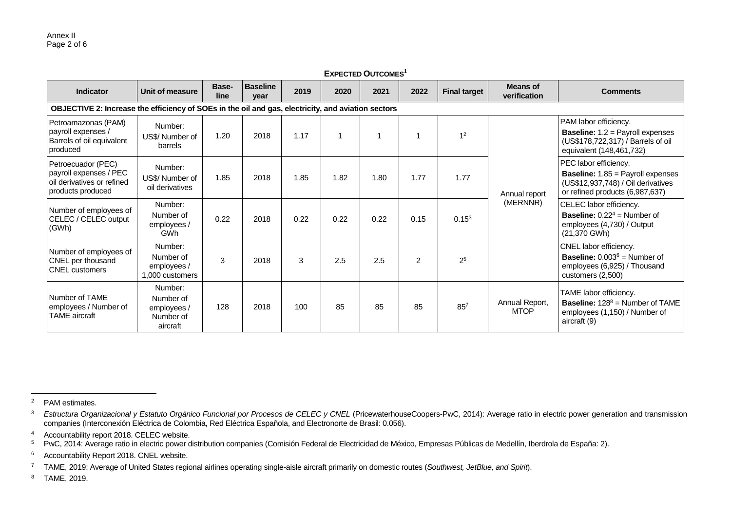| <b>EXPECTED OUTCOMES<sup>1</sup></b>                                                            |                                                                                                    |               |                         |      |      |      |      |                     |                                 |                                                                                                                                            |
|-------------------------------------------------------------------------------------------------|----------------------------------------------------------------------------------------------------|---------------|-------------------------|------|------|------|------|---------------------|---------------------------------|--------------------------------------------------------------------------------------------------------------------------------------------|
| Indicator                                                                                       | Unit of measure                                                                                    | Base-<br>line | <b>Baseline</b><br>year | 2019 | 2020 | 2021 | 2022 | <b>Final target</b> | <b>Means of</b><br>verification | <b>Comments</b>                                                                                                                            |
|                                                                                                 | OBJECTIVE 2: Increase the efficiency of SOEs in the oil and gas, electricity, and aviation sectors |               |                         |      |      |      |      |                     |                                 |                                                                                                                                            |
| Petroamazonas (PAM)<br>payroll expenses /<br>Barrels of oil equivalent<br>produced              | Number:<br>US\$/Number of<br>barrels                                                               | 1.20          | 2018                    | 1.17 |      |      |      | 1 <sup>2</sup>      | Annual report<br>(MERNNR)       | PAM labor efficiency.<br><b>Baseline:</b> $1.2$ = Payroll expenses<br>(US\$178,722,317) / Barrels of oil<br>equivalent (148,461,732)       |
| Petroecuador (PEC)<br>payroll expenses / PEC<br>oil derivatives or refined<br>products produced | Number:<br>US\$/ Number of<br>oil derivatives                                                      | 1.85          | 2018                    | 1.85 | 1.82 | 1.80 | 1.77 | 1.77                |                                 | PEC labor efficiency.<br><b>Baseline:</b> 1.85 = Payroll expenses<br>(US\$12,937,748) / Oil derivatives<br>or refined products (6,987,637) |
| Number of employees of<br>CELEC / CELEC output<br>(GWh)                                         | Number:<br>Number of<br>employees /<br>GWh                                                         | 0.22          | 2018                    | 0.22 | 0.22 | 0.22 | 0.15 | 0.15 <sup>3</sup>   |                                 | CELEC labor efficiency.<br><b>Baseline:</b> $0.22^4$ = Number of<br>employees (4,730) / Output<br>(21,370 GWh)                             |
| Number of employees of<br><b>CNEL</b> per thousand<br><b>CNEL</b> customers                     | Number:<br>Number of<br>employees /<br>1,000 customers                                             | 3             | 2018                    | 3    | 2.5  | 2.5  | 2    | 2 <sup>5</sup>      |                                 | CNEL labor efficiency.<br><b>Baseline:</b> $0.003^6$ = Number of<br>employees (6,925) / Thousand<br>customers $(2,500)$                    |
| Number of TAME<br>employees / Number of<br><b>TAME</b> aircraft                                 | Number:<br>Number of<br>employees /<br>Number of<br>aircraft                                       | 128           | 2018                    | 100  | 85   | 85   | 85   | $85^{7}$            | Annual Report,<br><b>MTOP</b>   | TAME labor efficiency.<br><b>Baseline:</b> $128^8$ = Number of TAME<br>employees (1,150) / Number of<br>aircraft (9)                       |

 <sup>2</sup> PAM estimates.

<sup>&</sup>lt;sup>3</sup> Estructura Organizacional y Estatuto Orgánico Funcional por Procesos de CELEC y CNEL (PricewaterhouseCoopers-PwC, 2014): Average ratio in electric power generation and transmission companies (Interconexión Eléctrica de Colombia, Red Eléctrica Española, and Electronorte de Brasil: 0.056).

<sup>&</sup>lt;sup>4</sup> Accountability report 2018. CELEC website.

<sup>&</sup>lt;sup>5</sup> PwC, 2014: Average ratio in electric power distribution companies (Comisión Federal de Electricidad de México, Empresas Públicas de Medellín, Iberdrola de España: 2).

<sup>6</sup> Accountability Report 2018. CNEL website.

<sup>7</sup> TAME, 2019: Average of United States regional airlines operating single-aisle aircraft primarily on domestic routes (*Southwest, JetBlue, and Spirit*).

<sup>8</sup> TAME, 2019.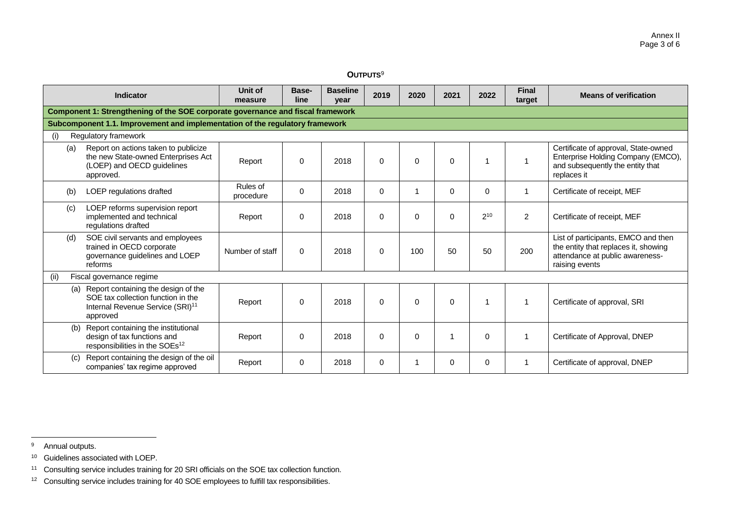| $\mathsf{OUTPUTS}^9$ |  |
|----------------------|--|
|----------------------|--|

| <b>Indicator</b> |                                                                                                                                           | Unit of<br>measure    | Base-<br>line | <b>Baseline</b><br>vear | 2019     | 2020     | 2021     | 2022     | <b>Final</b><br>target | <b>Means of verification</b>                                                                                                     |  |
|------------------|-------------------------------------------------------------------------------------------------------------------------------------------|-----------------------|---------------|-------------------------|----------|----------|----------|----------|------------------------|----------------------------------------------------------------------------------------------------------------------------------|--|
|                  | Component 1: Strengthening of the SOE corporate governance and fiscal framework                                                           |                       |               |                         |          |          |          |          |                        |                                                                                                                                  |  |
|                  | Subcomponent 1.1. Improvement and implementation of the regulatory framework                                                              |                       |               |                         |          |          |          |          |                        |                                                                                                                                  |  |
| (i)              | Regulatory framework                                                                                                                      |                       |               |                         |          |          |          |          |                        |                                                                                                                                  |  |
| (a)              | Report on actions taken to publicize<br>the new State-owned Enterprises Act<br>(LOEP) and OECD guidelines<br>approved.                    | Report                | $\Omega$      | 2018                    | $\Omega$ | $\Omega$ | $\Omega$ |          |                        | Certificate of approval, State-owned<br>Enterprise Holding Company (EMCO),<br>and subsequently the entity that<br>replaces it    |  |
| (b)              | LOEP regulations drafted                                                                                                                  | Rules of<br>procedure | $\Omega$      | 2018                    | $\Omega$ |          | $\Omega$ | $\Omega$ |                        | Certificate of receipt, MEF                                                                                                      |  |
| (c)              | LOEP reforms supervision report<br>implemented and technical<br>regulations drafted                                                       | Report                | 0             | 2018                    | $\Omega$ | $\Omega$ | $\Omega$ | $2^{10}$ | $\overline{2}$         | Certificate of receipt, MEF                                                                                                      |  |
| (d)              | SOE civil servants and employees<br>trained in OECD corporate<br>governance guidelines and LOEP<br>reforms                                | Number of staff       | $\Omega$      | 2018                    | $\Omega$ | 100      | 50       | 50       | 200                    | List of participants, EMCO and then<br>the entity that replaces it, showing<br>attendance at public awareness-<br>raising events |  |
| (ii)             | Fiscal governance regime                                                                                                                  |                       |               |                         |          |          |          |          |                        |                                                                                                                                  |  |
|                  | (a) Report containing the design of the<br>SOE tax collection function in the<br>Internal Revenue Service (SRI) <sup>11</sup><br>approved | Report                | $\Omega$      | 2018                    | $\Omega$ | $\Omega$ | $\Omega$ |          |                        | Certificate of approval, SRI                                                                                                     |  |
| (b)              | Report containing the institutional<br>design of tax functions and<br>responsibilities in the SOEs <sup>12</sup>                          | Report                | 0             | 2018                    | $\Omega$ | $\Omega$ |          | 0        |                        | Certificate of Approval, DNEP                                                                                                    |  |
| (C)              | Report containing the design of the oil<br>companies' tax regime approved                                                                 | Report                | $\Omega$      | 2018                    | $\Omega$ |          | $\Omega$ | 0        |                        | Certificate of approval, DNEP                                                                                                    |  |

<sup>9</sup> Annual outputs.

<sup>10</sup> Guidelines associated with LOEP.

<sup>11</sup> Consulting service includes training for 20 SRI officials on the SOE tax collection function.

<sup>&</sup>lt;sup>12</sup> Consulting service includes training for 40 SOE employees to fulfill tax responsibilities.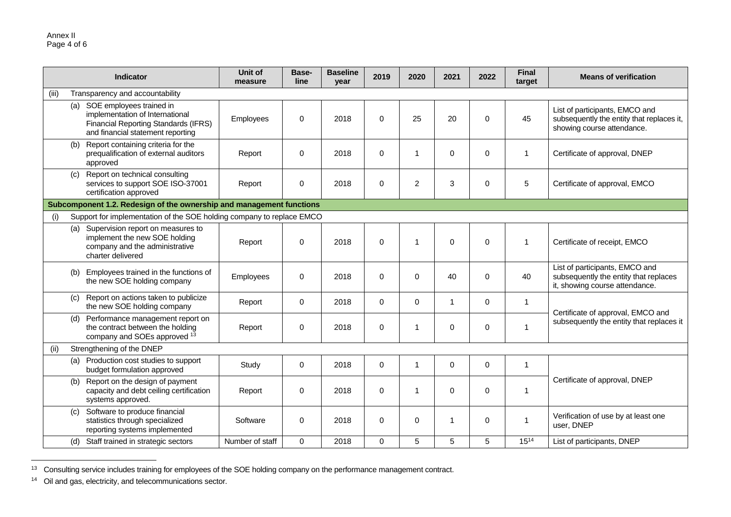|       | Indicator                                                                                                                                           | Unit of<br>measure | Base-<br>line | <b>Baseline</b><br>year | 2019        | 2020           | 2021           | 2022        | <b>Final</b><br>target | <b>Means of verification</b>                                                                              |  |
|-------|-----------------------------------------------------------------------------------------------------------------------------------------------------|--------------------|---------------|-------------------------|-------------|----------------|----------------|-------------|------------------------|-----------------------------------------------------------------------------------------------------------|--|
| (iii) | Transparency and accountability                                                                                                                     |                    |               |                         |             |                |                |             |                        |                                                                                                           |  |
|       | (a) SOE employees trained in<br>implementation of International<br><b>Financial Reporting Standards (IFRS)</b><br>and financial statement reporting | Employees          | $\mathbf 0$   | 2018                    | $\Omega$    | 25             | 20             | $\Omega$    | 45                     | List of participants, EMCO and<br>subsequently the entity that replaces it,<br>showing course attendance. |  |
| (b)   | Report containing criteria for the<br>prequalification of external auditors<br>approved                                                             | Report             | 0             | 2018                    | $\mathbf 0$ | $\mathbf{1}$   | $\mathbf 0$    | $\mathbf 0$ | 1                      | Certificate of approval, DNEP                                                                             |  |
| (C)   | Report on technical consulting<br>services to support SOE ISO-37001<br>certification approved                                                       | Report             | 0             | 2018                    | $\mathbf 0$ | $\overline{c}$ | 3              | $\mathbf 0$ | 5                      | Certificate of approval, EMCO                                                                             |  |
|       | Subcomponent 1.2. Redesign of the ownership and management functions                                                                                |                    |               |                         |             |                |                |             |                        |                                                                                                           |  |
| (i)   | Support for implementation of the SOE holding company to replace EMCO                                                                               |                    |               |                         |             |                |                |             |                        |                                                                                                           |  |
|       | (a) Supervision report on measures to<br>implement the new SOE holding<br>company and the administrative<br>charter delivered                       | Report             | $\mathbf 0$   | 2018                    | $\mathbf 0$ | $\overline{1}$ | $\mathbf 0$    | $\mathbf 0$ | $\mathbf 1$            | Certificate of receipt, EMCO                                                                              |  |
| (b)   | Employees trained in the functions of<br>the new SOE holding company                                                                                | Employees          | 0             | 2018                    | $\mathbf 0$ | $\mathbf 0$    | 40             | 0           | 40                     | List of participants, EMCO and<br>subsequently the entity that replaces<br>it, showing course attendance. |  |
| (c)   | Report on actions taken to publicize<br>the new SOE holding company                                                                                 | Report             | $\Omega$      | 2018                    | $\Omega$    | $\Omega$       | 1              | $\mathbf 0$ | $\mathbf 1$            | Certificate of approval, EMCO and                                                                         |  |
| (d)   | Performance management report on<br>the contract between the holding<br>company and SOEs approved <sup>13</sup>                                     | Report             | 0             | 2018                    | $\mathbf 0$ | $\overline{1}$ | 0              | $\mathbf 0$ | -1                     | subsequently the entity that replaces it                                                                  |  |
| (ii)  | Strengthening of the DNEP                                                                                                                           |                    |               |                         |             |                |                |             |                        |                                                                                                           |  |
|       | (a) Production cost studies to support<br>budget formulation approved                                                                               | Study              | $\mathbf 0$   | 2018                    | $\Omega$    | $\overline{1}$ | $\Omega$       | $\mathbf 0$ | $\mathbf{1}$           |                                                                                                           |  |
|       | (b) Report on the design of payment<br>capacity and debt ceiling certification<br>systems approved.                                                 | Report             | $\mathbf 0$   | 2018                    | $\Omega$    | $\overline{1}$ | $\Omega$       | $\mathbf 0$ | $\mathbf 1$            | Certificate of approval, DNEP                                                                             |  |
| (c)   | Software to produce financial<br>statistics through specialized<br>reporting systems implemented                                                    | Software           | $\mathbf 0$   | 2018                    | $\mathbf 0$ | $\mathbf 0$    | $\overline{1}$ | $\mathbf 0$ | 1                      | Verification of use by at least one<br>user, DNEP                                                         |  |
| (d)   | Staff trained in strategic sectors                                                                                                                  | Number of staff    | $\Omega$      | 2018                    | $\Omega$    | 5              | 5              | 5           | $15^{14}$              | List of participants, DNEP                                                                                |  |

<sup>&</sup>lt;sup>13</sup> Consulting service includes training for employees of the SOE holding company on the performance management contract.

<sup>14</sup> Oil and gas, electricity, and telecommunications sector.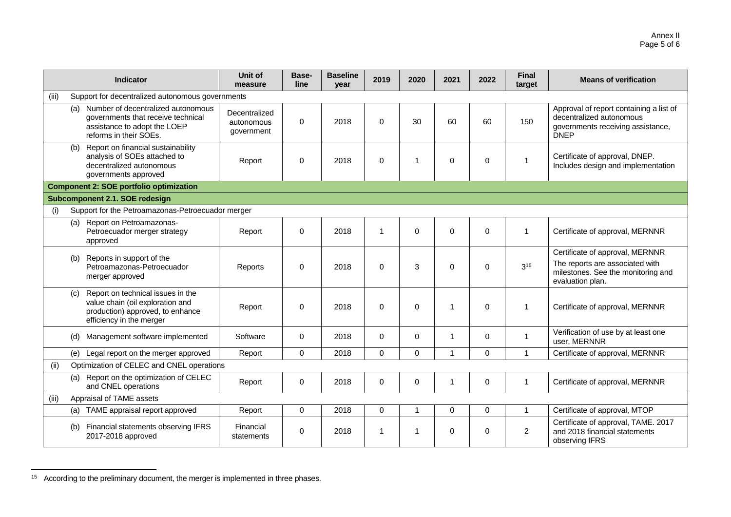|       | <b>Indicator</b>                                                                                                                       | Unit of<br>measure                        | Base-<br>line | <b>Baseline</b><br>year | 2019           | 2020           | 2021           | 2022        | <b>Final</b><br>target | <b>Means of verification</b>                                                                                                 |  |
|-------|----------------------------------------------------------------------------------------------------------------------------------------|-------------------------------------------|---------------|-------------------------|----------------|----------------|----------------|-------------|------------------------|------------------------------------------------------------------------------------------------------------------------------|--|
| (iii) | Support for decentralized autonomous governments                                                                                       |                                           |               |                         |                |                |                |             |                        |                                                                                                                              |  |
|       | (a) Number of decentralized autonomous<br>governments that receive technical<br>assistance to adopt the LOEP<br>reforms in their SOEs. | Decentralized<br>autonomous<br>government | $\Omega$      | 2018                    | $\Omega$       | 30             | 60             | 60          | 150                    | Approval of report containing a list of<br>decentralized autonomous<br>governments receiving assistance,<br><b>DNEP</b>      |  |
| (b)   | Report on financial sustainability<br>analysis of SOEs attached to<br>decentralized autonomous<br>governments approved                 | Report                                    | $\Omega$      | 2018                    | $\Omega$       | $\overline{1}$ | $\Omega$       | $\Omega$    | 1                      | Certificate of approval, DNEP.<br>Includes design and implementation                                                         |  |
|       | <b>Component 2: SOE portfolio optimization</b>                                                                                         |                                           |               |                         |                |                |                |             |                        |                                                                                                                              |  |
|       | Subcomponent 2.1. SOE redesign                                                                                                         |                                           |               |                         |                |                |                |             |                        |                                                                                                                              |  |
| (i)   | Support for the Petroamazonas-Petroecuador merger                                                                                      |                                           |               |                         |                |                |                |             |                        |                                                                                                                              |  |
| (a)   | Report on Petroamazonas-<br>Petroecuador merger strategy<br>approved                                                                   | Report                                    | 0             | 2018                    | $\overline{1}$ | $\mathbf{0}$   | $\Omega$       | $\mathbf 0$ | 1                      | Certificate of approval, MERNNR                                                                                              |  |
| (b)   | Reports in support of the<br>Petroamazonas-Petroecuador<br>merger approved                                                             | Reports                                   | $\Omega$      | 2018                    | $\Omega$       | 3              | 0              | $\Omega$    | 3 <sup>15</sup>        | Certificate of approval, MERNNR<br>The reports are associated with<br>milestones. See the monitoring and<br>evaluation plan. |  |
| (c)   | Report on technical issues in the<br>value chain (oil exploration and<br>production) approved, to enhance<br>efficiency in the merger  | Report                                    | $\Omega$      | 2018                    | $\Omega$       | $\mathbf{0}$   | $\overline{1}$ | $\Omega$    | 1                      | Certificate of approval, MERNNR                                                                                              |  |
| (d)   | Management software implemented                                                                                                        | Software                                  | $\mathbf 0$   | 2018                    | $\Omega$       | $\Omega$       | $\mathbf{1}$   | $\mathbf 0$ | 1                      | Verification of use by at least one<br>user, MERNNR                                                                          |  |
| (e)   | Legal report on the merger approved                                                                                                    | Report                                    | $\Omega$      | 2018                    | $\Omega$       | $\mathbf{0}$   | 1              | $\Omega$    | 1                      | Certificate of approval, MERNNR                                                                                              |  |
| (ii)  | Optimization of CELEC and CNEL operations                                                                                              |                                           |               |                         |                |                |                |             |                        |                                                                                                                              |  |
| (a)   | Report on the optimization of CELEC<br>and CNEL operations                                                                             | Report                                    | $\mathbf 0$   | 2018                    | $\mathbf 0$    | $\mathbf 0$    | -1             | 0           | -1                     | Certificate of approval, MERNNR                                                                                              |  |
| (iii) | Appraisal of TAME assets                                                                                                               |                                           |               |                         |                |                |                |             |                        |                                                                                                                              |  |
| (a)   | TAME appraisal report approved                                                                                                         | Report                                    | $\Omega$      | 2018                    | $\Omega$       | $\mathbf 1$    | $\Omega$       | $\Omega$    | 1                      | Certificate of approval, MTOP                                                                                                |  |
| (b)   | Financial statements observing IFRS<br>2017-2018 approved                                                                              | Financial<br>statements                   | 0             | 2018                    | $\mathbf 1$    | $\overline{1}$ | $\mathbf 0$    | $\mathbf 0$ | $\overline{2}$         | Certificate of approval, TAME. 2017<br>and 2018 financial statements<br>observing IFRS                                       |  |

<sup>&</sup>lt;sup>15</sup> According to the preliminary document, the merger is implemented in three phases.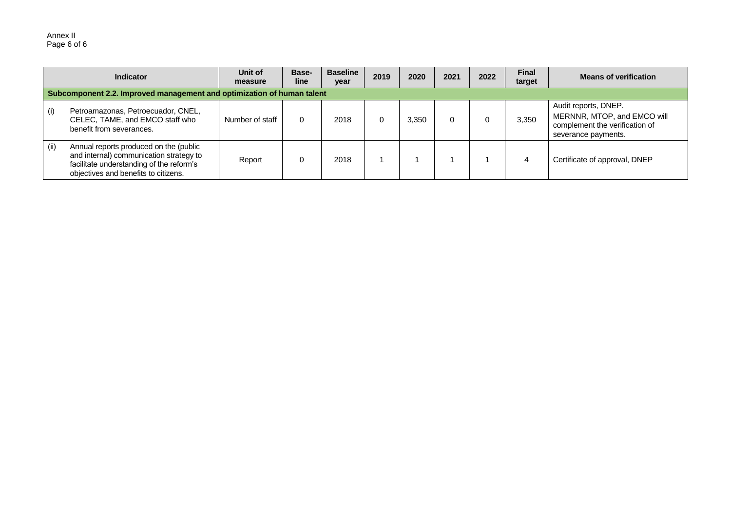#### Annex II Page 6 of 6

| <b>Indicator</b> |                                                                                                                                                                       | Unit of<br>measure | Base-<br>line | <b>Baseline</b><br>year | 2019 | 2020  | 2021 | 2022 | <b>Final</b><br>target | <b>Means of verification</b>                                                                                 |
|------------------|-----------------------------------------------------------------------------------------------------------------------------------------------------------------------|--------------------|---------------|-------------------------|------|-------|------|------|------------------------|--------------------------------------------------------------------------------------------------------------|
|                  | Subcomponent 2.2. Improved management and optimization of human talent                                                                                                |                    |               |                         |      |       |      |      |                        |                                                                                                              |
| (i)              | Petroamazonas, Petroecuador, CNEL,<br>CELEC, TAME, and EMCO staff who<br>benefit from severances.                                                                     | Number of staff    |               | 2018                    |      | 3.350 |      |      | 3,350                  | Audit reports, DNEP.<br>MERNNR, MTOP, and EMCO will<br>complement the verification of<br>severance payments. |
| (ii)             | Annual reports produced on the (public<br>and internal) communication strategy to<br>facilitate understanding of the reform's<br>objectives and benefits to citizens. | Report             |               | 2018                    |      |       |      |      |                        | Certificate of approval, DNEP                                                                                |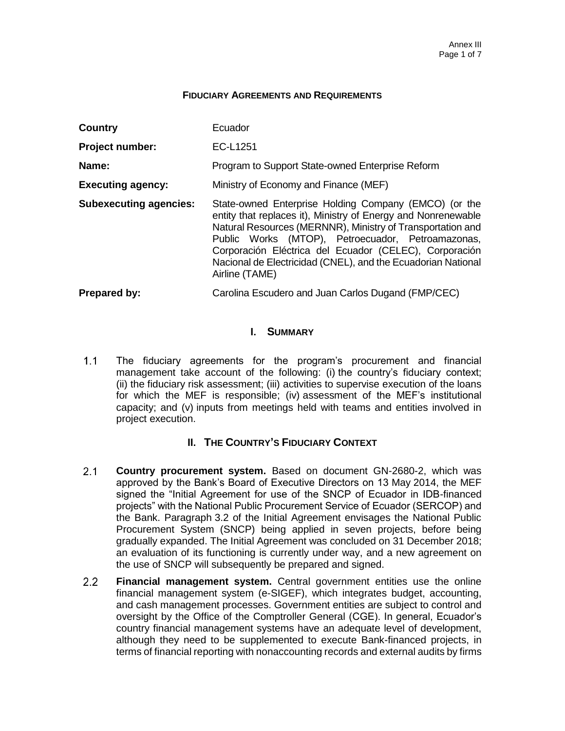#### **FIDUCIARY AGREEMENTS AND REQUIREMENTS**

| Country                       | Ecuador                                                                                                                                                                                                                                                                                                                                                                               |  |  |  |  |  |
|-------------------------------|---------------------------------------------------------------------------------------------------------------------------------------------------------------------------------------------------------------------------------------------------------------------------------------------------------------------------------------------------------------------------------------|--|--|--|--|--|
| <b>Project number:</b>        | EC-L1251                                                                                                                                                                                                                                                                                                                                                                              |  |  |  |  |  |
| Name:                         | Program to Support State-owned Enterprise Reform                                                                                                                                                                                                                                                                                                                                      |  |  |  |  |  |
| <b>Executing agency:</b>      | Ministry of Economy and Finance (MEF)                                                                                                                                                                                                                                                                                                                                                 |  |  |  |  |  |
| <b>Subexecuting agencies:</b> | State-owned Enterprise Holding Company (EMCO) (or the<br>entity that replaces it), Ministry of Energy and Nonrenewable<br>Natural Resources (MERNNR), Ministry of Transportation and<br>Public Works (MTOP), Petroecuador, Petroamazonas,<br>Corporación Eléctrica del Ecuador (CELEC), Corporación<br>Nacional de Electricidad (CNEL), and the Ecuadorian National<br>Airline (TAME) |  |  |  |  |  |
| <b>Prepared by:</b>           | Carolina Escudero and Juan Carlos Dugand (FMP/CEC)                                                                                                                                                                                                                                                                                                                                    |  |  |  |  |  |

### **I. SUMMARY**

 $1.1$ The fiduciary agreements for the program's procurement and financial management take account of the following: (i) the country's fiduciary context; (ii) the fiduciary risk assessment; (iii) activities to supervise execution of the loans for which the MEF is responsible; (iv) assessment of the MEF's institutional capacity; and (v) inputs from meetings held with teams and entities involved in project execution.

# **II. THE COUNTRY'S FIDUCIARY CONTEXT**

- $2.1$ **Country procurement system.** Based on document GN-2680-2, which was approved by the Bank's Board of Executive Directors on 13 May 2014, the MEF signed the "Initial Agreement for use of the SNCP of Ecuador in IDB-financed projects" with the National Public Procurement Service of Ecuador (SERCOP) and the Bank. Paragraph 3.2 of the Initial Agreement envisages the National Public Procurement System (SNCP) being applied in seven projects, before being gradually expanded. The Initial Agreement was concluded on 31 December 2018; an evaluation of its functioning is currently under way, and a new agreement on the use of SNCP will subsequently be prepared and signed.
- $2.2<sub>2</sub>$ **Financial management system.** Central government entities use the online financial management system (e-SIGEF), which integrates budget, accounting, and cash management processes. Government entities are subject to control and oversight by the Office of the Comptroller General (CGE). In general, Ecuador's country financial management systems have an adequate level of development, although they need to be supplemented to execute Bank-financed projects, in terms of financial reporting with nonaccounting records and external audits by firms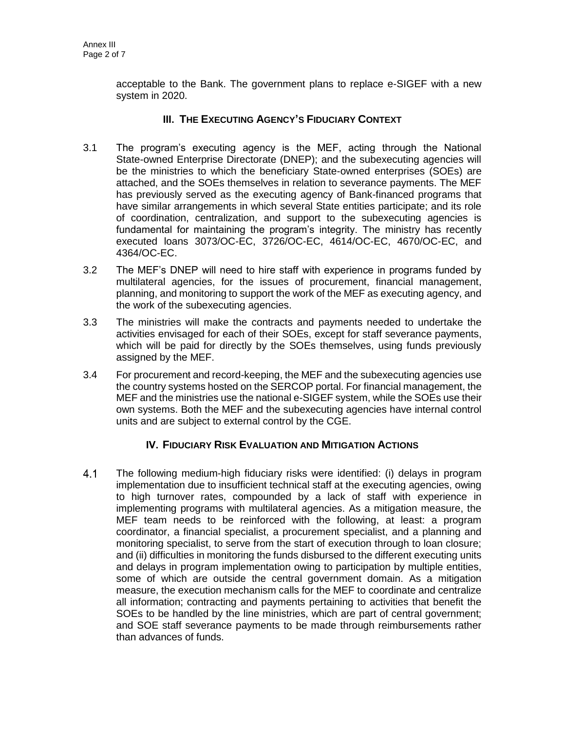acceptable to the Bank. The government plans to replace e-SIGEF with a new system in 2020.

# **III. THE EXECUTING AGENCY'S FIDUCIARY CONTEXT**

- 3.1 The program's executing agency is the MEF, acting through the National State-owned Enterprise Directorate (DNEP); and the subexecuting agencies will be the ministries to which the beneficiary State-owned enterprises (SOEs) are attached, and the SOEs themselves in relation to severance payments. The MEF has previously served as the executing agency of Bank-financed programs that have similar arrangements in which several State entities participate; and its role of coordination, centralization, and support to the subexecuting agencies is fundamental for maintaining the program's integrity. The ministry has recently executed loans 3073/OC-EC, 3726/OC-EC, 4614/OC-EC, 4670/OC-EC, and 4364/OC-EC.
- 3.2 The MEF's DNEP will need to hire staff with experience in programs funded by multilateral agencies, for the issues of procurement, financial management, planning, and monitoring to support the work of the MEF as executing agency, and the work of the subexecuting agencies.
- 3.3 The ministries will make the contracts and payments needed to undertake the activities envisaged for each of their SOEs, except for staff severance payments, which will be paid for directly by the SOEs themselves, using funds previously assigned by the MEF.
- 3.4 For procurement and record-keeping, the MEF and the subexecuting agencies use the country systems hosted on the SERCOP portal. For financial management, the MEF and the ministries use the national e-SIGEF system, while the SOEs use their own systems. Both the MEF and the subexecuting agencies have internal control units and are subject to external control by the CGE.

# **IV. FIDUCIARY RISK EVALUATION AND MITIGATION ACTIONS**

 $4.1$ The following medium-high fiduciary risks were identified: (i) delays in program implementation due to insufficient technical staff at the executing agencies, owing to high turnover rates, compounded by a lack of staff with experience in implementing programs with multilateral agencies. As a mitigation measure, the MEF team needs to be reinforced with the following, at least: a program coordinator, a financial specialist, a procurement specialist, and a planning and monitoring specialist, to serve from the start of execution through to loan closure; and (ii) difficulties in monitoring the funds disbursed to the different executing units and delays in program implementation owing to participation by multiple entities, some of which are outside the central government domain. As a mitigation measure, the execution mechanism calls for the MEF to coordinate and centralize all information; contracting and payments pertaining to activities that benefit the SOEs to be handled by the line ministries, which are part of central government; and SOE staff severance payments to be made through reimbursements rather than advances of funds.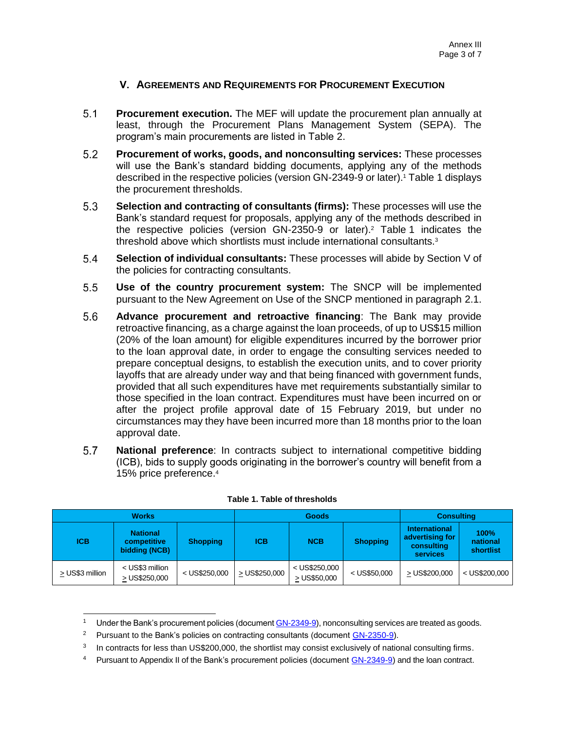# **V. AGREEMENTS AND REQUIREMENTS FOR PROCUREMENT EXECUTION**

- $5.1$ **Procurement execution.** The MEF will update the procurement plan annually at least, through the Procurement Plans Management System (SEPA). The program's main procurements are listed in Table 2.
- $5.2$ **Procurement of works, goods, and nonconsulting services:** These processes will use the Bank's standard bidding documents, applying any of the methods described in the respective policies (version GN-2349-9 or later).<sup>1</sup> Table 1 displays the procurement thresholds.
- $5.3$ **Selection and contracting of consultants (firms):** These processes will use the Bank's standard request for proposals, applying any of the methods described in the respective policies (version GN-2350-9 or later).<sup>2</sup> Table 1 indicates the threshold above which shortlists must include international consultants.<sup>3</sup>
- $5.4$ **Selection of individual consultants:** These processes will abide by Section V of the policies for contracting consultants.
- $5.5$ **Use of the country procurement system:** The SNCP will be implemented pursuant to the New Agreement on Use of the SNCP mentioned in paragraph 2.1.
- 5.6 **Advance procurement and retroactive financing**: The Bank may provide retroactive financing, as a charge against the loan proceeds, of up to US\$15 million (20% of the loan amount) for eligible expenditures incurred by the borrower prior to the loan approval date, in order to engage the consulting services needed to prepare conceptual designs, to establish the execution units, and to cover priority layoffs that are already under way and that being financed with government funds, provided that all such expenditures have met requirements substantially similar to those specified in the loan contract. Expenditures must have been incurred on or after the project profile approval date of 15 February 2019, but under no circumstances may they have been incurred more than 18 months prior to the loan approval date.
- $5.7$ **National preference**: In contracts subject to international competitive bidding (ICB), bids to supply goods originating in the borrower's country will benefit from a 15% price preference.<sup>4</sup>

|                 | <b>Works</b>                                    |                 |               | <b>Goods</b>                    | <b>Consulting</b> |                                                                   |                               |
|-----------------|-------------------------------------------------|-----------------|---------------|---------------------------------|-------------------|-------------------------------------------------------------------|-------------------------------|
| <b>ICB</b>      | <b>National</b><br>competitive<br>bidding (NCB) | <b>Shopping</b> | <b>ICB</b>    | <b>NCB</b>                      | <b>Shopping</b>   | <b>International</b><br>advertising for<br>consulting<br>services | 100%<br>national<br>shortlist |
| > US\$3 million | < US\$3 million<br>> US\$250,000                | $<$ US\$250,000 | > US\$250,000 | $<$ US\$250,000<br>> US\$50,000 | $<$ US\$50,000    | > US\$200,000                                                     | $<$ US\$200,000               |

#### **Table 1. Table of thresholds**

Under the Bank's procurement policies (documen[t GN-2349-9\)](http://idbdocs.iadb.org/wsdocs/getDocument.aspx?DOCNUM=774396), nonconsulting services are treated as goods.

<sup>&</sup>lt;sup>2</sup> Pursuant to the Bank's policies on contracting consultants (document [GN-2350-9\)](http://idbdocs.iadb.org/wsdocs/getDocument.aspx?DOCNUM=774396).

<sup>3</sup> In contracts for less than US\$200,000, the shortlist may consist exclusively of national consulting firms.

<sup>&</sup>lt;sup>4</sup> Pursuant to Appendix II of the Bank's procurement policies (document [GN-2349-9\)](http://idbdocs.iadb.org/wsdocs/getDocument.aspx?DOCNUM=774396) and the loan contract.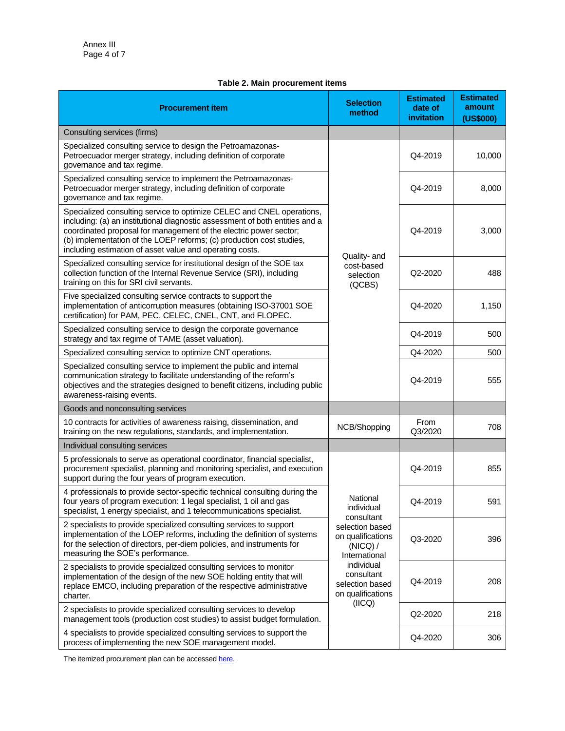#### **Table 2. Main procurement items**

| <b>Procurement item</b>                                                                                                                                                                                                                                                                                                                                        | <b>Selection</b><br>method                                        | <b>Estimated</b><br>date of<br>invitation | <b>Estimated</b><br>amount<br>(US\$000) |
|----------------------------------------------------------------------------------------------------------------------------------------------------------------------------------------------------------------------------------------------------------------------------------------------------------------------------------------------------------------|-------------------------------------------------------------------|-------------------------------------------|-----------------------------------------|
| Consulting services (firms)                                                                                                                                                                                                                                                                                                                                    |                                                                   |                                           |                                         |
| Specialized consulting service to design the Petroamazonas-<br>Petroecuador merger strategy, including definition of corporate<br>governance and tax regime.                                                                                                                                                                                                   |                                                                   | Q4-2019                                   | 10,000                                  |
| Specialized consulting service to implement the Petroamazonas-<br>Petroecuador merger strategy, including definition of corporate<br>governance and tax regime.                                                                                                                                                                                                |                                                                   | Q4-2019                                   | 8,000                                   |
| Specialized consulting service to optimize CELEC and CNEL operations,<br>including: (a) an institutional diagnostic assessment of both entities and a<br>coordinated proposal for management of the electric power sector;<br>(b) implementation of the LOEP reforms; (c) production cost studies,<br>including estimation of asset value and operating costs. | Quality- and                                                      | Q4-2019                                   | 3,000                                   |
| Specialized consulting service for institutional design of the SOE tax<br>collection function of the Internal Revenue Service (SRI), including<br>training on this for SRI civil servants.                                                                                                                                                                     | cost-based<br>selection<br>(QCBS)                                 | Q2-2020                                   | 488                                     |
| Five specialized consulting service contracts to support the<br>implementation of anticorruption measures (obtaining ISO-37001 SOE<br>certification) for PAM, PEC, CELEC, CNEL, CNT, and FLOPEC.                                                                                                                                                               |                                                                   | Q4-2020                                   | 1,150                                   |
| Specialized consulting service to design the corporate governance<br>strategy and tax regime of TAME (asset valuation).                                                                                                                                                                                                                                        |                                                                   | Q4-2019                                   | 500                                     |
| Specialized consulting service to optimize CNT operations.                                                                                                                                                                                                                                                                                                     |                                                                   | Q4-2020                                   | 500                                     |
| Specialized consulting service to implement the public and internal<br>communication strategy to facilitate understanding of the reform's<br>objectives and the strategies designed to benefit citizens, including public<br>awareness-raising events.                                                                                                         |                                                                   | Q4-2019                                   | 555                                     |
| Goods and nonconsulting services                                                                                                                                                                                                                                                                                                                               |                                                                   |                                           |                                         |
| 10 contracts for activities of awareness raising, dissemination, and<br>training on the new regulations, standards, and implementation.                                                                                                                                                                                                                        | NCB/Shopping                                                      | From<br>Q3/2020                           | 708                                     |
| Individual consulting services                                                                                                                                                                                                                                                                                                                                 |                                                                   |                                           |                                         |
| 5 professionals to serve as operational coordinator, financial specialist,<br>procurement specialist, planning and monitoring specialist, and execution<br>support during the four years of program execution.                                                                                                                                                 |                                                                   | Q4-2019                                   | 855                                     |
| 4 professionals to provide sector-specific technical consulting during the<br>four years of program execution: 1 legal specialist, 1 oil and gas<br>specialist, 1 energy specialist, and 1 telecommunications specialist.                                                                                                                                      | National<br>individual<br>consultant                              | Q4-2019                                   | 591                                     |
| 2 specialists to provide specialized consulting services to support<br>implementation of the LOEP reforms, including the definition of systems<br>for the selection of directors, per-diem policies, and instruments for<br>measuring the SOE's performance.                                                                                                   | selection based<br>on qualifications<br>(NICQ) /<br>International | Q3-2020                                   | 396                                     |
| 2 specialists to provide specialized consulting services to monitor<br>implementation of the design of the new SOE holding entity that will<br>replace EMCO, including preparation of the respective administrative<br>charter.                                                                                                                                | individual<br>consultant<br>selection based<br>on qualifications  | Q4-2019                                   | 208                                     |
| 2 specialists to provide specialized consulting services to develop<br>management tools (production cost studies) to assist budget formulation.                                                                                                                                                                                                                | (ICQ)                                                             | Q2-2020                                   | 218                                     |
| 4 specialists to provide specialized consulting services to support the<br>process of implementing the new SOE management model.                                                                                                                                                                                                                               |                                                                   | Q4-2020                                   | 306                                     |

The itemized procurement plan can be accessed here.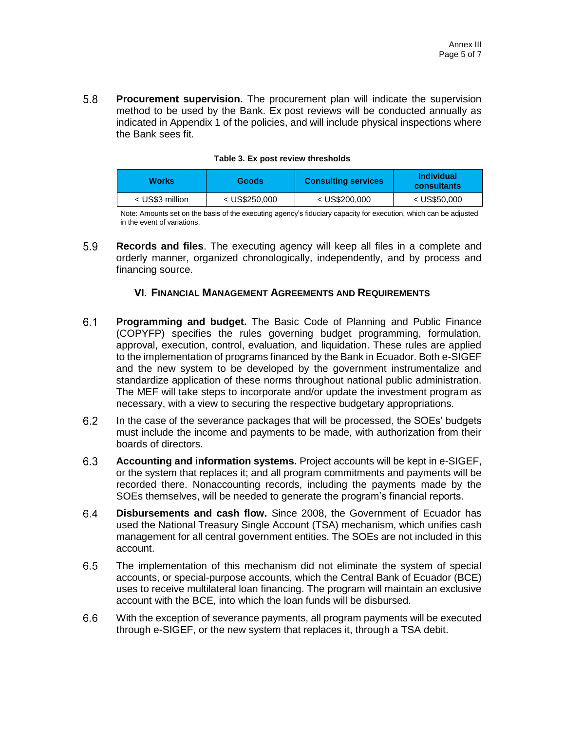5.8 **Procurement supervision.** The procurement plan will indicate the supervision method to be used by the Bank. Ex post reviews will be conducted annually as indicated in Appendix 1 of the policies, and will include physical inspections where the Bank sees fit.

| <b>Works</b><br><b>Goods</b> |                 | <b>Consulting services</b> | <b>Individual</b><br>consultants |  |
|------------------------------|-----------------|----------------------------|----------------------------------|--|
| < US\$3 million              | $<$ US\$250,000 | $<$ US\$200,000            | $<$ US\$50,000                   |  |

#### **Table 3. Ex post review thresholds**

Note: Amounts set on the basis of the executing agency's fiduciary capacity for execution, which can be adjusted in the event of variations.

5.9 **Records and files**. The executing agency will keep all files in a complete and orderly manner, organized chronologically, independently, and by process and financing source.

### **VI. FINANCIAL MANAGEMENT AGREEMENTS AND REQUIREMENTS**

- $6.1$ **Programming and budget.** The Basic Code of Planning and Public Finance (COPYFP) specifies the rules governing budget programming, formulation, approval, execution, control, evaluation, and liquidation. These rules are applied to the implementation of programs financed by the Bank in Ecuador. Both e-SIGEF and the new system to be developed by the government instrumentalize and standardize application of these norms throughout national public administration. The MEF will take steps to incorporate and/or update the investment program as necessary, with a view to securing the respective budgetary appropriations.
- $6.2$ In the case of the severance packages that will be processed, the SOEs' budgets must include the income and payments to be made, with authorization from their boards of directors.
- $6.3$ **Accounting and information systems.** Project accounts will be kept in e-SIGEF, or the system that replaces it; and all program commitments and payments will be recorded there. Nonaccounting records, including the payments made by the SOEs themselves, will be needed to generate the program's financial reports.
- $6.4$ **Disbursements and cash flow.** Since 2008, the Government of Ecuador has used the National Treasury Single Account (TSA) mechanism, which unifies cash management for all central government entities. The SOEs are not included in this account.
- $6.5$ The implementation of this mechanism did not eliminate the system of special accounts, or special-purpose accounts, which the Central Bank of Ecuador (BCE) uses to receive multilateral loan financing. The program will maintain an exclusive account with the BCE, into which the loan funds will be disbursed.
- $6.6$ With the exception of severance payments, all program payments will be executed through e-SIGEF, or the new system that replaces it, through a TSA debit.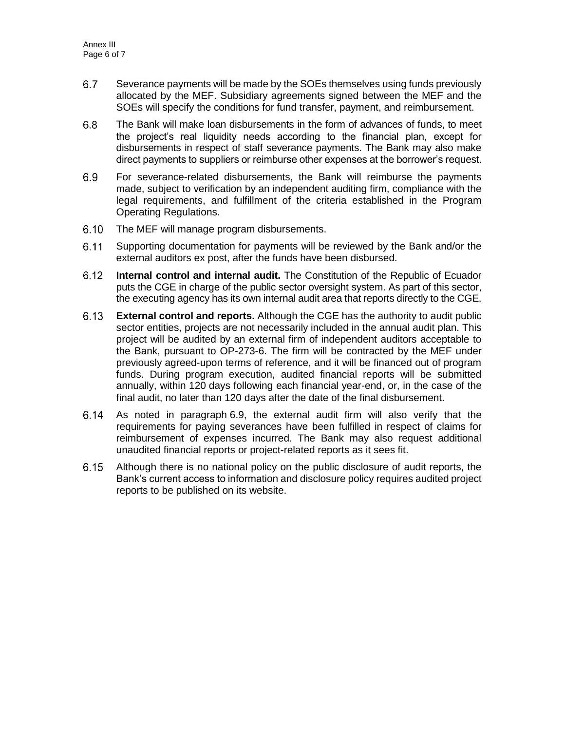- 6.7 Severance payments will be made by the SOEs themselves using funds previously allocated by the MEF. Subsidiary agreements signed between the MEF and the SOEs will specify the conditions for fund transfer, payment, and reimbursement.
- $6.8$ The Bank will make loan disbursements in the form of advances of funds, to meet the project's real liquidity needs according to the financial plan, except for disbursements in respect of staff severance payments. The Bank may also make direct payments to suppliers or reimburse other expenses at the borrower's request.
- $6.9$ For severance-related disbursements, the Bank will reimburse the payments made, subject to verification by an independent auditing firm, compliance with the legal requirements, and fulfillment of the criteria established in the Program Operating Regulations.
- $6.10$ The MEF will manage program disbursements.
- $6.11$ Supporting documentation for payments will be reviewed by the Bank and/or the external auditors ex post, after the funds have been disbursed.
- $6.12$ **Internal control and internal audit.** The Constitution of the Republic of Ecuador puts the CGE in charge of the public sector oversight system. As part of this sector, the executing agency has its own internal audit area that reports directly to the CGE.
- **External control and reports.** Although the CGE has the authority to audit public  $6.13$ sector entities, projects are not necessarily included in the annual audit plan. This project will be audited by an external firm of independent auditors acceptable to the Bank, pursuant to OP-273-6. The firm will be contracted by the MEF under previously agreed-upon terms of reference, and it will be financed out of program funds. During program execution, audited financial reports will be submitted annually, within 120 days following each financial year-end, or, in the case of the final audit, no later than 120 days after the date of the final disbursement.
- $6.14$ As noted in paragraph 6.9, the external audit firm will also verify that the requirements for paying severances have been fulfilled in respect of claims for reimbursement of expenses incurred. The Bank may also request additional unaudited financial reports or project-related reports as it sees fit.
- $6.15$ Although there is no national policy on the public disclosure of audit reports, the Bank's current access to information and disclosure policy requires audited project reports to be published on its website.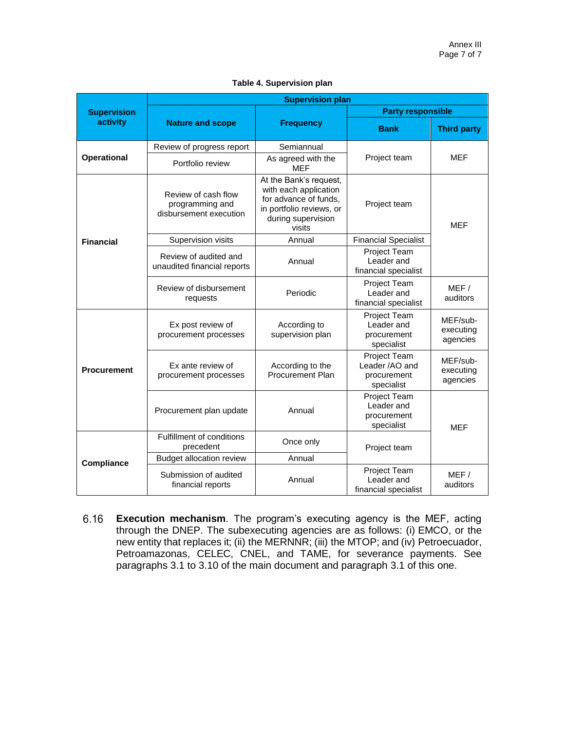|                    | <b>Supervision plan</b>                                          |                                                                                                                                      |                                                                    |                                   |  |  |  |  |  |
|--------------------|------------------------------------------------------------------|--------------------------------------------------------------------------------------------------------------------------------------|--------------------------------------------------------------------|-----------------------------------|--|--|--|--|--|
| <b>Supervision</b> |                                                                  |                                                                                                                                      | <b>Party responsible</b>                                           |                                   |  |  |  |  |  |
| activity           | <b>Nature and scope</b>                                          | <b>Frequency</b>                                                                                                                     | <b>Bank</b>                                                        | <b>Third party</b>                |  |  |  |  |  |
|                    | Review of progress report                                        | Semiannual                                                                                                                           |                                                                    |                                   |  |  |  |  |  |
| <b>Operational</b> | Portfolio review                                                 | As agreed with the<br><b>MEF</b>                                                                                                     | Project team                                                       | MEF                               |  |  |  |  |  |
|                    | Review of cash flow<br>programming and<br>disbursement execution | At the Bank's request,<br>with each application<br>for advance of funds,<br>in portfolio reviews, or<br>during supervision<br>visits | Project team                                                       | <b>MEF</b>                        |  |  |  |  |  |
| <b>Financial</b>   | Supervision visits                                               | Annual                                                                                                                               | <b>Financial Specialist</b>                                        |                                   |  |  |  |  |  |
|                    | Review of audited and<br>unaudited financial reports             | Annual                                                                                                                               | Project Team<br>Leader and<br>financial specialist                 |                                   |  |  |  |  |  |
|                    | Review of disbursement<br>requests                               | Periodic                                                                                                                             | Project Team<br>Leader and<br>financial specialist                 | MEF/<br>auditors                  |  |  |  |  |  |
|                    | Ex post review of<br>procurement processes                       | According to<br>supervision plan                                                                                                     | Project Team<br>Leader and<br>procurement<br>specialist            | MEF/sub-<br>executing<br>agencies |  |  |  |  |  |
| <b>Procurement</b> | Ex ante review of<br>procurement processes                       | According to the<br><b>Procurement Plan</b>                                                                                          | <b>Project Team</b><br>Leader /AO and<br>procurement<br>specialist | MEF/sub-<br>executing<br>agencies |  |  |  |  |  |
|                    | Procurement plan update                                          | Annual                                                                                                                               | <b>Project Team</b><br>Leader and<br>procurement<br>specialist     | <b>MEF</b>                        |  |  |  |  |  |
|                    | Fulfillment of conditions<br>precedent                           | Once only                                                                                                                            | Project team                                                       |                                   |  |  |  |  |  |
| Compliance         | <b>Budget allocation review</b>                                  | Annual                                                                                                                               |                                                                    |                                   |  |  |  |  |  |
|                    | Submission of audited<br>financial reports                       | Annual                                                                                                                               | Project Team<br>Leader and<br>financial specialist                 | MEF/<br>auditors                  |  |  |  |  |  |

**Execution mechanism**. The program's executing agency is the MEF, acting  $6.16$ through the DNEP. The subexecuting agencies are as follows: (i) EMCO, or the new entity that replaces it; (ii) the MERNNR; (iii) the MTOP; and (iv) Petroecuador, Petroamazonas, CELEC, CNEL, and TAME, for severance payments. See paragraphs 3.1 to 3.10 of the main document and paragraph 3.1 of this one.